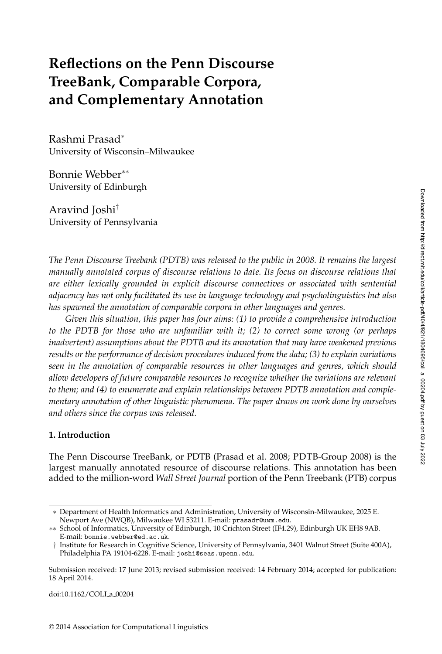# **Reflections on the Penn Discourse TreeBank, Comparable Corpora, and Complementary Annotation**

Rashmi Prasad<sup>∗</sup> University of Wisconsin–Milwaukee

Bonnie Webber∗∗ University of Edinburgh

Aravind Joshi† University of Pennsylvania

*The Penn Discourse Treebank (PDTB) was released to the public in 2008. It remains the largest manually annotated corpus of discourse relations to date. Its focus on discourse relations that are either lexically grounded in explicit discourse connectives or associated with sentential adjacency has not only facilitated its use in language technology and psycholinguistics but also has spawned the annotation of comparable corpora in other languages and genres.*

*Given this situation, this paper has four aims: (1) to provide a comprehensive introduction to the PDTB for those who are unfamiliar with it; (2) to correct some wrong (or perhaps inadvertent) assumptions about the PDTB and its annotation that may have weakened previous results or the performance of decision procedures induced from the data; (3) to explain variations seen in the annotation of comparable resources in other languages and genres, which should allow developers of future comparable resources to recognize whether the variations are relevant to them; and (4) to enumerate and explain relationships between PDTB annotation and complementary annotation of other linguistic phenomena. The paper draws on work done by ourselves and others since the corpus was released.*

#### **1. Introduction**

The Penn Discourse TreeBank, or PDTB (Prasad et al. 2008; PDTB-Group 2008) is the largest manually annotated resource of discourse relations. This annotation has been added to the million-word *Wall Street Journal* portion of the Penn Treebank (PTB) corpus

doi:10.1162/COLI a 00204

<sup>∗</sup> Department of Health Informatics and Administration, University of Wisconsin-Milwaukee, 2025 E. Newport Ave (NWQB), Milwaukee WI 53211. E-mail: prasadr@uwm.edu.

<sup>∗∗</sup> School of Informatics, University of Edinburgh, 10 Crichton Street (IF4.29), Edinburgh UK EH8 9AB. E-mail: bonnie.webber@ed.ac.uk.

<sup>†</sup> Institute for Research in Cognitive Science, University of Pennsylvania, 3401 Walnut Street (Suite 400A), Philadelphia PA 19104-6228. E-mail: joshi@seas.upenn.edu.

Submission received: 17 June 2013; revised submission received: 14 February 2014; accepted for publication: 18 April 2014.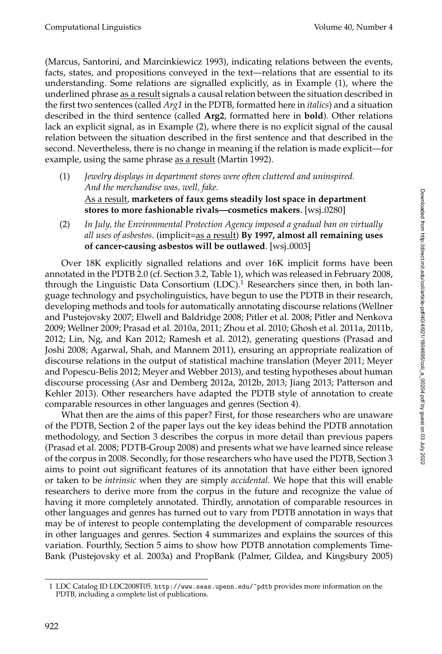(Marcus, Santorini, and Marcinkiewicz 1993), indicating relations between the events, facts, states, and propositions conveyed in the text—relations that are essential to its understanding. Some relations are signalled explicitly, as in Example (1), where the underlined phrase as a result signals a causal relation between the situation described in the first two sentences (called *Arg1* in the PDTB, formatted here in *italics*) and a situation described in the third sentence (called **Arg2**, formatted here in **bold**). Other relations lack an explicit signal, as in Example (2), where there is no explicit signal of the causal relation between the situation described in the first sentence and that described in the second. Nevertheless, there is no change in meaning if the relation is made explicit—for example, using the same phrase as a result (Martin 1992).

- (1) *Jewelry displays in department stores were often cluttered and uninspired. And the merchandise was, well, fake.* As a result, **marketers of faux gems steadily lost space in department** stores to more fashionable rivals-cosmetics makers. [wsj\_0280]
- (2) *In July, the Environmental Protection Agency imposed a gradual ban on virtually all uses of asbestos*. (implicit=as a result) **By 1997, almost all remaining uses** of cancer-causing asbestos will be outlawed. [wsj\_0003]

Over 18K explicitly signalled relations and over 16K implicit forms have been annotated in the PDTB 2.0 (cf. Section 3.2, Table 1), which was released in February 2008, through the Linguistic Data Consortium  $(LDC)^1$ . Researchers since then, in both language technology and psycholinguistics, have begun to use the PDTB in their research, developing methods and tools for automatically annotating discourse relations (Wellner and Pustejovsky 2007; Elwell and Baldridge 2008; Pitler et al. 2008; Pitler and Nenkova 2009; Wellner 2009; Prasad et al. 2010a, 2011; Zhou et al. 2010; Ghosh et al. 2011a, 2011b, 2012; Lin, Ng, and Kan 2012; Ramesh et al. 2012), generating questions (Prasad and Joshi 2008; Agarwal, Shah, and Mannem 2011), ensuring an appropriate realization of discourse relations in the output of statistical machine translation (Meyer 2011; Meyer and Popescu-Belis 2012; Meyer and Webber 2013), and testing hypotheses about human discourse processing (Asr and Demberg 2012a, 2012b, 2013; Jiang 2013; Patterson and Kehler 2013). Other researchers have adapted the PDTB style of annotation to create comparable resources in other languages and genres (Section 4).

What then are the aims of this paper? First, for those researchers who are unaware of the PDTB, Section 2 of the paper lays out the key ideas behind the PDTB annotation methodology, and Section 3 describes the corpus in more detail than previous papers (Prasad et al. 2008; PDTB-Group 2008) and presents what we have learned since release of the corpus in 2008. Secondly, for those researchers who have used the PDTB, Section 3 aims to point out significant features of its annotation that have either been ignored or taken to be *intrinsic* when they are simply *accidental*. We hope that this will enable researchers to derive more from the corpus in the future and recognize the value of having it more completely annotated. Thirdly, annotation of comparable resources in other languages and genres has turned out to vary from PDTB annotation in ways that may be of interest to people contemplating the development of comparable resources in other languages and genres. Section 4 summarizes and explains the sources of this variation. Fourthly, Section 5 aims to show how PDTB annotation complements Time-Bank (Pustejovsky et al. 2003a) and PropBank (Palmer, Gildea, and Kingsbury 2005)

<sup>1</sup> LDC Catalog ID LDC2008T05. http://www.seas.upenn.edu/~pdtb provides more information on the PDTB, including a complete list of publications.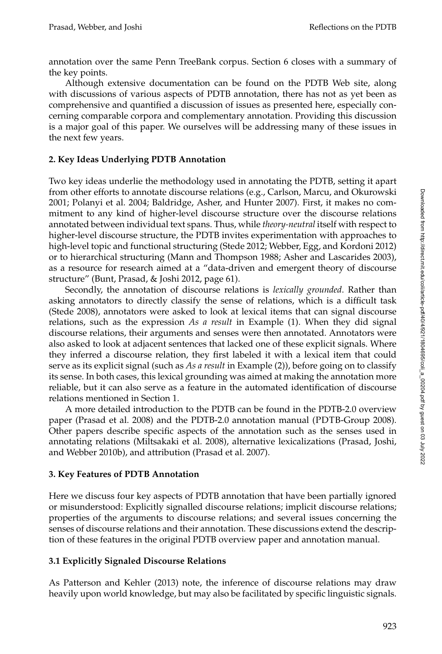annotation over the same Penn TreeBank corpus. Section 6 closes with a summary of the key points.

Although extensive documentation can be found on the PDTB Web site, along with discussions of various aspects of PDTB annotation, there has not as yet been as comprehensive and quantified a discussion of issues as presented here, especially concerning comparable corpora and complementary annotation. Providing this discussion is a major goal of this paper. We ourselves will be addressing many of these issues in the next few years.

# **2. Key Ideas Underlying PDTB Annotation**

Two key ideas underlie the methodology used in annotating the PDTB, setting it apart from other efforts to annotate discourse relations (e.g., Carlson, Marcu, and Okurowski 2001; Polanyi et al. 2004; Baldridge, Asher, and Hunter 2007). First, it makes no commitment to any kind of higher-level discourse structure over the discourse relations annotated between individual text spans. Thus, while *theory-neutral* itself with respect to higher-level discourse structure, the PDTB invites experimentation with approaches to high-level topic and functional structuring (Stede 2012; Webber, Egg, and Kordoni 2012) or to hierarchical structuring (Mann and Thompson 1988; Asher and Lascarides 2003), as a resource for research aimed at a "data-driven and emergent theory of discourse structure" (Bunt, Prasad, & Joshi 2012, page 61).

Secondly, the annotation of discourse relations is *lexically grounded*. Rather than asking annotators to directly classify the sense of relations, which is a difficult task (Stede 2008), annotators were asked to look at lexical items that can signal discourse relations, such as the expression *As a result* in Example (1). When they did signal discourse relations, their arguments and senses were then annotated. Annotators were also asked to look at adjacent sentences that lacked one of these explicit signals. Where they inferred a discourse relation, they first labeled it with a lexical item that could serve as its explicit signal (such as *As a result* in Example (2)), before going on to classify its sense. In both cases, this lexical grounding was aimed at making the annotation more reliable, but it can also serve as a feature in the automated identification of discourse relations mentioned in Section 1.

A more detailed introduction to the PDTB can be found in the PDTB-2.0 overview paper (Prasad et al. 2008) and the PDTB-2.0 annotation manual (PDTB-Group 2008). Other papers describe specific aspects of the annotation such as the senses used in annotating relations (Miltsakaki et al. 2008), alternative lexicalizations (Prasad, Joshi, and Webber 2010b), and attribution (Prasad et al. 2007).

# **3. Key Features of PDTB Annotation**

Here we discuss four key aspects of PDTB annotation that have been partially ignored or misunderstood: Explicitly signalled discourse relations; implicit discourse relations; properties of the arguments to discourse relations; and several issues concerning the senses of discourse relations and their annotation. These discussions extend the description of these features in the original PDTB overview paper and annotation manual.

# **3.1 Explicitly Signaled Discourse Relations**

As Patterson and Kehler (2013) note, the inference of discourse relations may draw heavily upon world knowledge, but may also be facilitated by specific linguistic signals.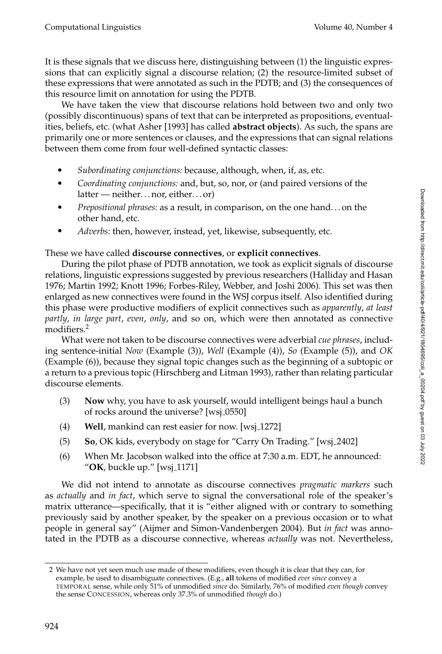It is these signals that we discuss here, distinguishing between (1) the linguistic expressions that can explicitly signal a discourse relation; (2) the resource-limited subset of these expressions that were annotated as such in the PDTB; and (3) the consequences of this resource limit on annotation for using the PDTB.

We have taken the view that discourse relations hold between two and only two (possibly discontinuous) spans of text that can be interpreted as propositions, eventualities, beliefs, etc. (what Asher [1993] has called **abstract objects**). As such, the spans are primarily one or more sentences or clauses, and the expressions that can signal relations between them come from four well-defined syntactic classes:

- Subordinating conjunctions: because, although, when, if, as, etc.
- Coordinating conjunctions: and, but, so, nor, or (and paired versions of the latter — neither. . . nor, either. . . or)
- *Prepositional phrases:* as a result, in comparison, on the one hand... on the other hand, etc.
- Adverbs: then, however, instead, yet, likewise, subsequently, etc.

# These we have called **discourse connectives**, or **explicit connectives**.

During the pilot phase of PDTB annotation, we took as explicit signals of discourse relations, linguistic expressions suggested by previous researchers (Halliday and Hasan 1976; Martin 1992; Knott 1996; Forbes-Riley, Webber, and Joshi 2006). This set was then enlarged as new connectives were found in the WSJ corpus itself. Also identified during this phase were productive modifiers of explicit connectives such as *apparently*, *at least partly*, *in large part*, *even*, *only*, and so on, which were then annotated as connective modifiers.<sup>2</sup>

What were not taken to be discourse connectives were adverbial *cue phrases*, including sentence-initial *Now* (Example (3)), *Well* (Example (4)), *So* (Example (5)), and *OK* (Example (6)), because they signal topic changes such as the beginning of a subtopic or a return to a previous topic (Hirschberg and Litman 1993), rather than relating particular discourse elements.

- (3) **Now** why, you have to ask yourself, would intelligent beings haul a bunch of rocks around the universe? [wsj 0550]
- (4) **Well**, mankind can rest easier for now. [wsj<sub>-1272]</sub>
- (5) **So**, OK kids, everybody on stage for "Carry On Trading." [wsj 2402]
- (6) When Mr. Jacobson walked into the office at 7:30 a.m. EDT, he announced: "**OK**, buckle up." [wsj<sub>-1171]</sub>

We did not intend to annotate as discourse connectives *pragmatic markers* such as *actually* and *in fact*, which serve to signal the conversational role of the speaker's matrix utterance—specifically, that it is "either aligned with or contrary to something previously said by another speaker, by the speaker on a previous occasion or to what people in general say" (Aijmer and Simon-Vandenbergen 2004). But *in fact* was annotated in the PDTB as a discourse connective, whereas *actually* was not. Nevertheless,

<sup>2</sup> We have not yet seen much use made of these modifiers, even though it is clear that they can, for example, be used to disambiguate connectives. (E.g., **all** tokens of modified *ever since* convey a TEMPORAL sense, while only 51% of unmodified *since* do. Similarly, 76% of modified *even though* convey the sense CONCESSION, whereas only 37.3% of unmodified *though* do.)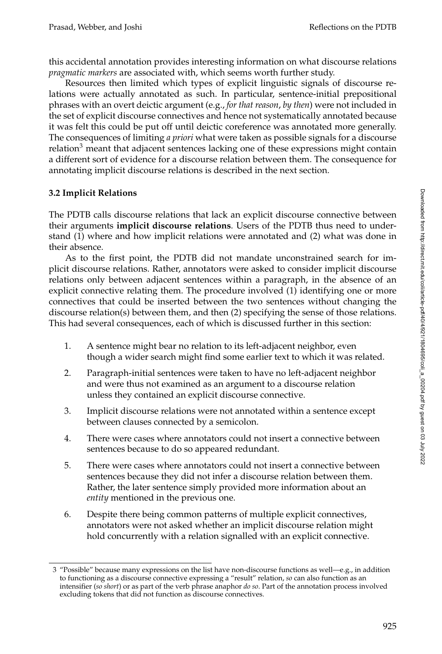this accidental annotation provides interesting information on what discourse relations *pragmatic markers* are associated with, which seems worth further study.

Resources then limited which types of explicit linguistic signals of discourse relations were actually annotated as such. In particular, sentence-initial prepositional phrases with an overt deictic argument (e.g., *for that reason*, *by then*) were not included in the set of explicit discourse connectives and hence not systematically annotated because it was felt this could be put off until deictic coreference was annotated more generally. The consequences of limiting *a priori* what were taken as possible signals for a discourse relation $3$  meant that adjacent sentences lacking one of these expressions might contain a different sort of evidence for a discourse relation between them. The consequence for annotating implicit discourse relations is described in the next section.

# **3.2 Implicit Relations**

The PDTB calls discourse relations that lack an explicit discourse connective between their arguments **implicit discourse relations**. Users of the PDTB thus need to understand (1) where and how implicit relations were annotated and (2) what was done in their absence.

As to the first point, the PDTB did not mandate unconstrained search for implicit discourse relations. Rather, annotators were asked to consider implicit discourse relations only between adjacent sentences within a paragraph, in the absence of an explicit connective relating them. The procedure involved (1) identifying one or more connectives that could be inserted between the two sentences without changing the discourse relation(s) between them, and then (2) specifying the sense of those relations. This had several consequences, each of which is discussed further in this section:

- 1. A sentence might bear no relation to its left-adjacent neighbor, even though a wider search might find some earlier text to which it was related.
- 2. Paragraph-initial sentences were taken to have no left-adjacent neighbor and were thus not examined as an argument to a discourse relation unless they contained an explicit discourse connective.
- 3. Implicit discourse relations were not annotated within a sentence except between clauses connected by a semicolon.
- 4. There were cases where annotators could not insert a connective between sentences because to do so appeared redundant.
- 5. There were cases where annotators could not insert a connective between sentences because they did not infer a discourse relation between them. Rather, the later sentence simply provided more information about an *entity* mentioned in the previous one.
- 6. Despite there being common patterns of multiple explicit connectives, annotators were not asked whether an implicit discourse relation might hold concurrently with a relation signalled with an explicit connective.

<sup>3 &</sup>quot;Possible" because many expressions on the list have non-discourse functions as well—e.g., in addition to functioning as a discourse connective expressing a "result" relation, *so* can also function as an intensifier (*so short*) or as part of the verb phrase anaphor *do so*. Part of the annotation process involved excluding tokens that did not function as discourse connectives.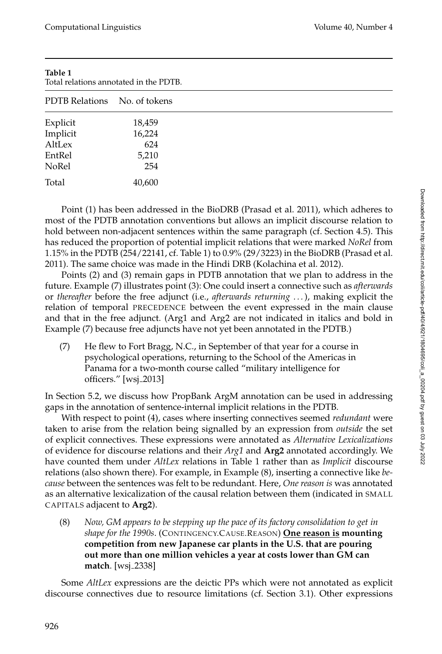| PDTB Relations No. of tokens |        |  |
|------------------------------|--------|--|
| Explicit                     | 18,459 |  |
| Implicit                     | 16,224 |  |
| AltLex                       | 624    |  |
| EntRel                       | 5,210  |  |
| NoRel                        | 254    |  |
| Total                        | 40,600 |  |

**Table 1** Total relations annotated in the PDTB.

Point (1) has been addressed in the BioDRB (Prasad et al. 2011), which adheres to most of the PDTB annotation conventions but allows an implicit discourse relation to hold between non-adjacent sentences within the same paragraph (cf. Section 4.5). This has reduced the proportion of potential implicit relations that were marked *NoRel* from 1.15% in the PDTB (254/22141, cf. Table 1) to 0.9% (29/3223) in the BioDRB (Prasad et al. 2011). The same choice was made in the Hindi DRB (Kolachina et al. 2012).

Points (2) and (3) remain gaps in PDTB annotation that we plan to address in the future. Example (7) illustrates point (3): One could insert a connective such as *afterwards* or *thereafter* before the free adjunct (i.e., *afterwards returning . . .*), making explicit the relation of temporal PRECEDENCE between the event expressed in the main clause and that in the free adjunct. (Arg1 and Arg2 are not indicated in italics and bold in Example (7) because free adjuncts have not yet been annotated in the PDTB.)

(7) He flew to Fort Bragg, N.C., in September of that year for a course in psychological operations, returning to the School of the Americas in Panama for a two-month course called "military intelligence for officers."  $[ws]$ <sub>-2013</sub>]

In Section 5.2, we discuss how PropBank ArgM annotation can be used in addressing gaps in the annotation of sentence-internal implicit relations in the PDTB.

With respect to point (4), cases where inserting connectives seemed *redundant* were taken to arise from the relation being signalled by an expression from *outside* the set of explicit connectives. These expressions were annotated as *Alternative Lexicalizations* of evidence for discourse relations and their *Arg1* and **Arg2** annotated accordingly. We have counted them under *AltLex* relations in Table 1 rather than as *Implicit* discourse relations (also shown there). For example, in Example (8), inserting a connective like *because* between the sentences was felt to be redundant. Here, *One reason is* was annotated as an alternative lexicalization of the causal relation between them (indicated in SMALL CAPITALS adjacent to **Arg2**).

(8) *Now, GM appears to be stepping up the pace of its factory consolidation to get in shape for the 1990s*. (CONTINGENCY.CAUSE.REASON) **One reason is mounting competition from new Japanese car plants in the U.S. that are pouring out more than one million vehicles a year at costs lower than GM can match**. [wsj\_2338]

Some *AltLex* expressions are the deictic PPs which were not annotated as explicit discourse connectives due to resource limitations (cf. Section 3.1). Other expressions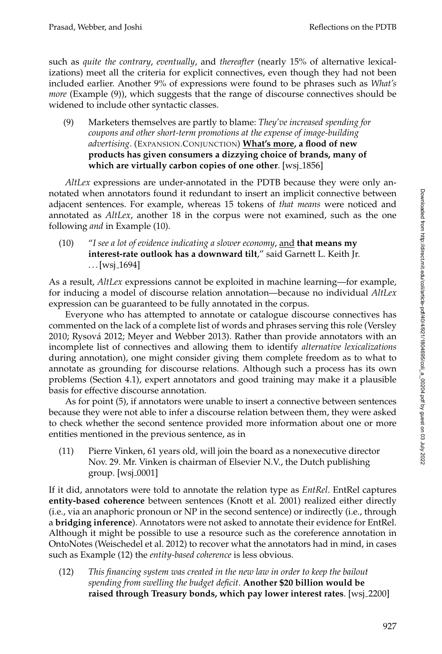such as *quite the contrary*, *eventually*, and *thereafter* (nearly 15% of alternative lexicalizations) meet all the criteria for explicit connectives, even though they had not been included earlier. Another 9% of expressions were found to be phrases such as *What's more* (Example (9)), which suggests that the range of discourse connectives should be widened to include other syntactic classes.

(9) Marketers themselves are partly to blame: *They've increased spending for coupons and other short-term promotions at the expense of image-building advertising*. (EXPANSION.CONJUNCTION) **What's more, a flood of new products has given consumers a dizzying choice of brands, many of which are virtually carbon copies of one other**. [wsj 1856]

*AltLex* expressions are under-annotated in the PDTB because they were only annotated when annotators found it redundant to insert an implicit connective between adjacent sentences. For example, whereas 15 tokens of *that means* were noticed and annotated as *AltLex*, another 18 in the corpus were not examined, such as the one following *and* in Example (10).

(10) "*I see a lot of evidence indicating a slower economy*, and **that means my interest-rate outlook has a downward tilt**," said Garnett L. Keith Jr.  $\ldots$ [wsj\_1694]

As a result, *AltLex* expressions cannot be exploited in machine learning—for example, for inducing a model of discourse relation annotation—because no individual *AltLex* expression can be guaranteed to be fully annotated in the corpus.

Everyone who has attempted to annotate or catalogue discourse connectives has commented on the lack of a complete list of words and phrases serving this role (Versley 2010; Rysová 2012; Meyer and Webber 2013). Rather than provide annotators with an incomplete list of connectives and allowing them to identify *alternative lexicalizations* during annotation), one might consider giving them complete freedom as to what to annotate as grounding for discourse relations. Although such a process has its own problems (Section 4.1), expert annotators and good training may make it a plausible basis for effective discourse annotation.

As for point (5), if annotators were unable to insert a connective between sentences because they were not able to infer a discourse relation between them, they were asked to check whether the second sentence provided more information about one or more entities mentioned in the previous sentence, as in

(11) Pierre Vinken, 61 years old, will join the board as a nonexecutive director Nov. 29. Mr. Vinken is chairman of Elsevier N.V., the Dutch publishing group. [wsj 0001]

If it did, annotators were told to annotate the relation type as *EntRel*. EntRel captures **entity-based coherence** between sentences (Knott et al. 2001) realized either directly (i.e., via an anaphoric pronoun or NP in the second sentence) or indirectly (i.e., through a **bridging inference**). Annotators were not asked to annotate their evidence for EntRel. Although it might be possible to use a resource such as the coreference annotation in OntoNotes (Weischedel et al. 2012) to recover what the annotators had in mind, in cases such as Example (12) the *entity-based coherence* is less obvious.

(12) *This financing system was created in the new law in order to keep the bailout spending from swelling the budget deficit*. **Another \$20 billion would be raised through Treasury bonds, which pay lower interest rates**. [wsj 2200]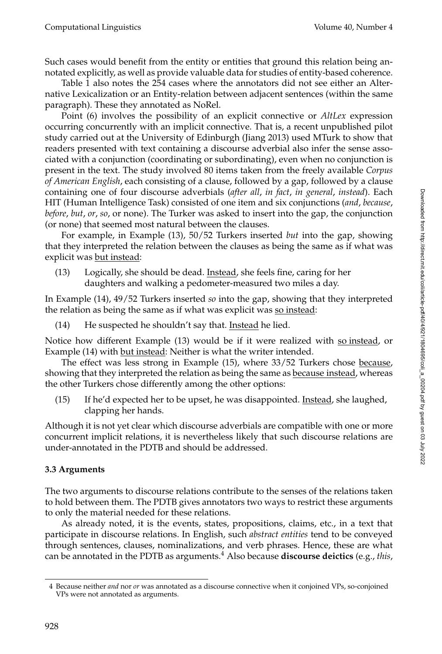Such cases would benefit from the entity or entities that ground this relation being annotated explicitly, as well as provide valuable data for studies of entity-based coherence.

Table 1 also notes the 254 cases where the annotators did not see either an Alternative Lexicalization or an Entity-relation between adjacent sentences (within the same paragraph). These they annotated as NoRel.

Point (6) involves the possibility of an explicit connective or *AltLex* expression occurring concurrently with an implicit connective. That is, a recent unpublished pilot study carried out at the University of Edinburgh (Jiang 2013) used MTurk to show that readers presented with text containing a discourse adverbial also infer the sense associated with a conjunction (coordinating or subordinating), even when no conjunction is present in the text. The study involved 80 items taken from the freely available *Corpus of American English*, each consisting of a clause, followed by a gap, followed by a clause containing one of four discourse adverbials (*after all*, *in fact*, *in general*, *instead*). Each HIT (Human Intelligence Task) consisted of one item and six conjunctions (*and*, *because*, *before*, *but*, *or*, *so*, or none). The Turker was asked to insert into the gap, the conjunction (or none) that seemed most natural between the clauses.

For example, in Example (13), 50/52 Turkers inserted *but* into the gap, showing that they interpreted the relation between the clauses as being the same as if what was explicit was but instead:

(13) Logically, she should be dead. Instead, she feels fine, caring for her daughters and walking a pedometer-measured two miles a day.

In Example (14), 49/52 Turkers inserted *so* into the gap, showing that they interpreted the relation as being the same as if what was explicit was so instead:

(14) He suspected he shouldn't say that. Instead he lied.

Notice how different Example (13) would be if it were realized with so instead, or Example (14) with but instead: Neither is what the writer intended.

The effect was less strong in Example (15), where 33/52 Turkers chose because, showing that they interpreted the relation as being the same as because instead, whereas the other Turkers chose differently among the other options:

(15) If he'd expected her to be upset, he was disappointed. Instead, she laughed, clapping her hands.

Although it is not yet clear which discourse adverbials are compatible with one or more concurrent implicit relations, it is nevertheless likely that such discourse relations are under-annotated in the PDTB and should be addressed.

# **3.3 Arguments**

The two arguments to discourse relations contribute to the senses of the relations taken to hold between them. The PDTB gives annotators two ways to restrict these arguments to only the material needed for these relations.

As already noted, it is the events, states, propositions, claims, etc., in a text that participate in discourse relations. In English, such *abstract entities* tend to be conveyed through sentences, clauses, nominalizations, and verb phrases. Hence, these are what can be annotated in the PDTB as arguments.<sup>4</sup> Also because **discourse deictics** (e.g., *this*,

<sup>4</sup> Because neither *and* nor *or* was annotated as a discourse connective when it conjoined VPs, so-conjoined VPs were not annotated as arguments.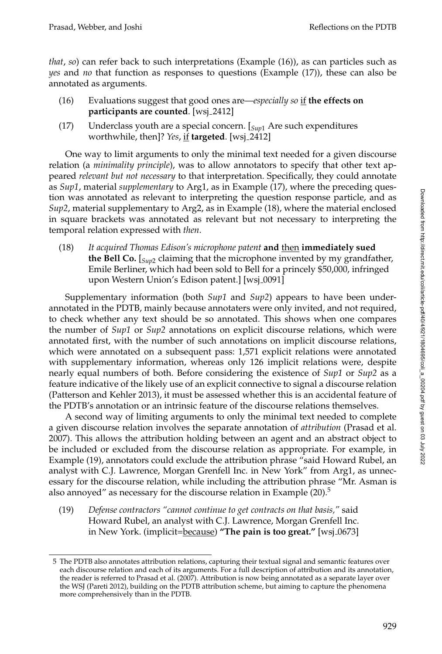*that*, *so*) can refer back to such interpretations (Example (16)), as can particles such as *yes* and *no* that function as responses to questions (Example (17)), these can also be annotated as arguments.

- (16) Evaluations suggest that good ones are—*especially so* if **the effects on participants are counted**. [wsj\_2412]
- (17) Underclass youth are a special concern. [*Sup*<sup>1</sup> Are such expenditures worthwhile, then]? *Yes*, if **targeted**. [wsj 2412]

One way to limit arguments to only the minimal text needed for a given discourse relation (a *minimality principle*), was to allow annotators to specify that other text appeared *relevant but not necessary* to that interpretation. Specifically, they could annotate as *Sup1*, material *supplementary* to Arg1, as in Example (17), where the preceding question was annotated as relevant to interpreting the question response particle, and as *Sup2*, material supplementary to Arg2, as in Example (18), where the material enclosed in square brackets was annotated as relevant but not necessary to interpreting the temporal relation expressed with *then*.

(18) *It acquired Thomas Edison's microphone patent* **and** then **immediately sued the Bell Co.** [*Sup*<sup>2</sup> claiming that the microphone invented by my grandfather, Emile Berliner, which had been sold to Bell for a princely \$50,000, infringed upon Western Union's Edison patent.] [wsj\_0091]

Supplementary information (both *Sup1* and *Sup2*) appears to have been underannotated in the PDTB, mainly because annotaters were only invited, and not required, to check whether any text should be so annotated. This shows when one compares the number of *Sup1* or *Sup2* annotations on explicit discourse relations, which were annotated first, with the number of such annotations on implicit discourse relations, which were annotated on a subsequent pass: 1,571 explicit relations were annotated with supplementary information, whereas only 126 implicit relations were, despite nearly equal numbers of both. Before considering the existence of *Sup1* or *Sup2* as a feature indicative of the likely use of an explicit connective to signal a discourse relation (Patterson and Kehler 2013), it must be assessed whether this is an accidental feature of the PDTB's annotation or an intrinsic feature of the discourse relations themselves.

A second way of limiting arguments to only the minimal text needed to complete a given discourse relation involves the separate annotation of *attribution* (Prasad et al. 2007). This allows the attribution holding between an agent and an abstract object to be included or excluded from the discourse relation as appropriate. For example, in Example (19), annotators could exclude the attribution phrase "said Howard Rubel, an analyst with C.J. Lawrence, Morgan Grenfell Inc. in New York" from Arg1, as unnecessary for the discourse relation, while including the attribution phrase "Mr. Asman is also annoyed" as necessary for the discourse relation in Example  $(20)$ .<sup>5</sup>

(19) *Defense contractors "cannot continue to get contracts on that basis,"* said Howard Rubel, an analyst with C.J. Lawrence, Morgan Grenfell Inc. in New York. (implicit=because) "The pain is too great." [wsj\_0673]

<sup>5</sup> The PDTB also annotates attribution relations, capturing their textual signal and semantic features over each discourse relation and each of its arguments. For a full description of attribution and its annotation, the reader is referred to Prasad et al. (2007). Attribution is now being annotated as a separate layer over the WSJ (Pareti 2012), building on the PDTB attribution scheme, but aiming to capture the phenomena more comprehensively than in the PDTB.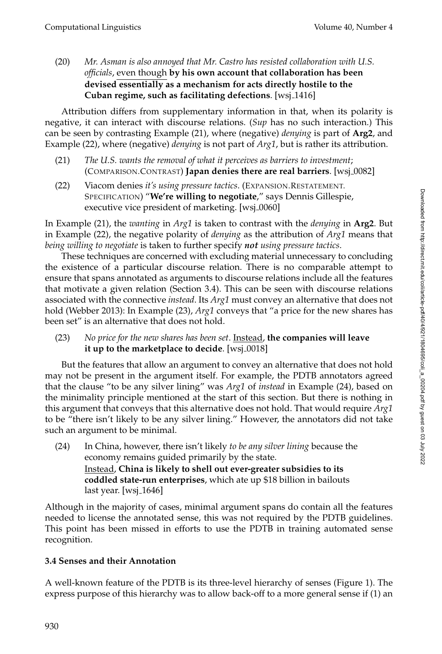(20) *Mr. Asman is also annoyed that Mr. Castro has resisted collaboration with U.S. officials*, even though **by his own account that collaboration has been devised essentially as a mechanism for acts directly hostile to the Cuban regime, such as facilitating defections**. [wsj 1416]

Attribution differs from supplementary information in that, when its polarity is negative, it can interact with discourse relations. (*Sup* has no such interaction.) This can be seen by contrasting Example (21), where (negative) *denying* is part of **Arg2**, and Example (22), where (negative) *denying* is not part of *Arg1*, but is rather its attribution.

- (21) *The U.S. wants the removal of what it perceives as barriers to investment*; (COMPARISON.CONTRAST) **Japan denies there are real barriers**. [wsj 0082]
- (22) Viacom denies *it's using pressure tactics*. (EXPANSION.RESTATEMENT. SPECIFICATION) "**We're willing to negotiate**," says Dennis Gillespie, executive vice president of marketing. [wsj\_0060]

In Example (21), the *wanting* in *Arg1* is taken to contrast with the *denying* in **Arg2**. But in Example (22), the negative polarity of *denying* as the attribution of *Arg1* means that *being willing to negotiate* is taken to further specify *not using pressure tactics*.

These techniques are concerned with excluding material unnecessary to concluding the existence of a particular discourse relation. There is no comparable attempt to ensure that spans annotated as arguments to discourse relations include all the features that motivate a given relation (Section 3.4). This can be seen with discourse relations associated with the connective *instead*. Its *Arg1* must convey an alternative that does not hold (Webber 2013): In Example (23), *Arg1* conveys that "a price for the new shares has been set" is an alternative that does not hold.

(23) *No price for the new shares has been set*. Instead, **the companies will leave it up to the marketplace to decide**. [wsj\_0018]

But the features that allow an argument to convey an alternative that does not hold may not be present in the argument itself. For example, the PDTB annotators agreed that the clause "to be any silver lining" was *Arg1* of *instead* in Example (24), based on the minimality principle mentioned at the start of this section. But there is nothing in this argument that conveys that this alternative does not hold. That would require *Arg1* to be "there isn't likely to be any silver lining." However, the annotators did not take such an argument to be minimal.

(24) In China, however, there isn't likely *to be any silver lining* because the economy remains guided primarily by the state. Instead, **China is likely to shell out ever-greater subsidies to its coddled state-run enterprises**, which ate up \$18 billion in bailouts last year.  $[ws]$ <sub>1646</sub>]

Although in the majority of cases, minimal argument spans do contain all the features needed to license the annotated sense, this was not required by the PDTB guidelines. This point has been missed in efforts to use the PDTB in training automated sense recognition.

# **3.4 Senses and their Annotation**

A well-known feature of the PDTB is its three-level hierarchy of senses (Figure 1). The express purpose of this hierarchy was to allow back-off to a more general sense if (1) an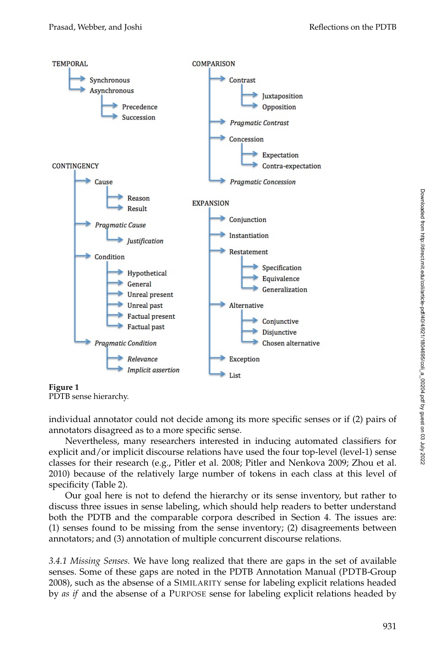

**Figure 1** PDTB sense hierarchy.

individual annotator could not decide among its more specific senses or if (2) pairs of annotators disagreed as to a more specific sense.

Nevertheless, many researchers interested in inducing automated classifiers for explicit and/or implicit discourse relations have used the four top-level (level-1) sense classes for their research (e.g., Pitler et al. 2008; Pitler and Nenkova 2009; Zhou et al. 2010) because of the relatively large number of tokens in each class at this level of specificity (Table 2).

Our goal here is not to defend the hierarchy or its sense inventory, but rather to discuss three issues in sense labeling, which should help readers to better understand both the PDTB and the comparable corpora described in Section 4. The issues are: (1) senses found to be missing from the sense inventory; (2) disagreements between annotators; and (3) annotation of multiple concurrent discourse relations.

*3.4.1 Missing Senses.* We have long realized that there are gaps in the set of available senses. Some of these gaps are noted in the PDTB Annotation Manual (PDTB-Group 2008), such as the absense of a SIMILARITY sense for labeling explicit relations headed by *as if* and the absense of a PURPOSE sense for labeling explicit relations headed by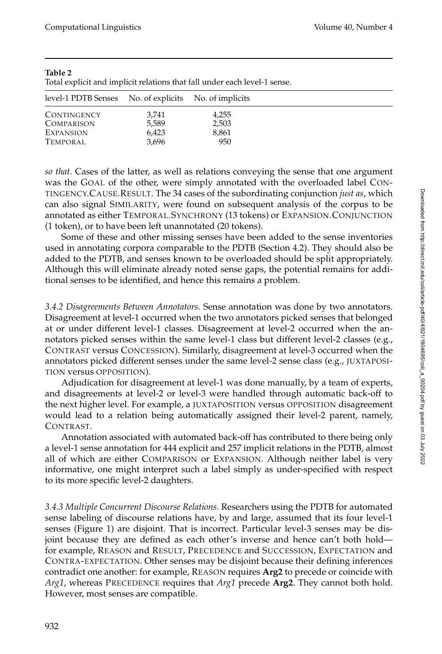| level-1 PDTB Senses No. of explicits No. of implicits |       |       |
|-------------------------------------------------------|-------|-------|
| CONTINGENCY                                           | 3.741 | 4,255 |
| <b>COMPARISON</b>                                     | 5,589 | 2,503 |
| <b>EXPANSION</b>                                      | 6,423 | 8,861 |
| TEMPORAL.                                             | 3.696 | 950   |

#### **Table 2**

Total explicit and implicit relations that fall under each level-1 sense.

*so that*. Cases of the latter, as well as relations conveying the sense that one argument was the GOAL of the other, were simply annotated with the overloaded label CON-TINGENCY.CAUSE.RESULT. The 34 cases of the subordinating conjunction *just as*, which can also signal SIMILARITY, were found on subsequent analysis of the corpus to be annotated as either TEMPORAL.SYNCHRONY (13 tokens) or EXPANSION.CONJUNCTION (1 token), or to have been left unannotated (20 tokens).

Some of these and other missing senses have been added to the sense inventories used in annotating corpora comparable to the PDTB (Section 4.2). They should also be added to the PDTB, and senses known to be overloaded should be split appropriately. Although this will eliminate already noted sense gaps, the potential remains for additional senses to be identified, and hence this remains a problem.

*3.4.2 Disagreements Between Annotators.* Sense annotation was done by two annotators. Disagreement at level-1 occurred when the two annotators picked senses that belonged at or under different level-1 classes. Disagreement at level-2 occurred when the annotators picked senses within the same level-1 class but different level-2 classes (e.g., CONTRAST versus CONCESSION). Similarly, disagreement at level-3 occurred when the annotators picked different senses under the same level-2 sense class (e.g., JUXTAPOSI-TION versus OPPOSITION).

Adjudication for disagreement at level-1 was done manually, by a team of experts, and disagreements at level-2 or level-3 were handled through automatic back-off to the next higher level. For example, a JUXTAPOSITION versus OPPOSITION disagreement would lead to a relation being automatically assigned their level-2 parent, namely, CONTRAST.

Annotation associated with automated back-off has contributed to there being only a level-1 sense annotation for 444 explicit and 257 implicit relations in the PDTB, almost all of which are either COMPARISON or EXPANSION. Although neither label is very informative, one might interpret such a label simply as under-specified with respect to its more specific level-2 daughters.

*3.4.3 Multiple Concurrent Discourse Relations.* Researchers using the PDTB for automated sense labeling of discourse relations have, by and large, assumed that its four level-1 senses (Figure 1) are disjoint. That is incorrect. Particular level-3 senses may be disjoint because they are defined as each other's inverse and hence can't both hold for example, REASON and RESULT, PRECEDENCE and SUCCESSION, EXPECTATION and CONTRA-EXPECTATION. Other senses may be disjoint because their defining inferences contradict one another: for example, REASON requires **Arg2** to precede or coincide with *Arg1*, whereas PRECEDENCE requires that *Arg1* precede **Arg2**. They cannot both hold. However, most senses are compatible.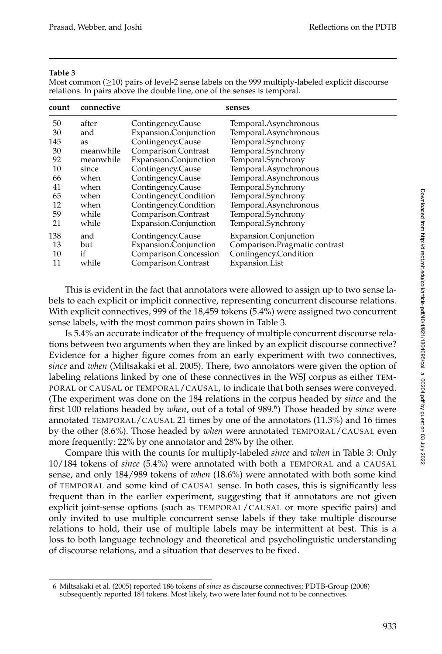#### **Table 3**

Most common  $(\geq 10)$  pairs of level-2 sense labels on the 999 multiply-labeled explicit discourse relations. In pairs above the double line, one of the senses is temporal.

| count | connective |                       | senses                        |  |  |  |
|-------|------------|-----------------------|-------------------------------|--|--|--|
| 50    | after      | Contingency.Cause     | Temporal.Asynchronous         |  |  |  |
| 30    | and        | Expansion.Conjunction | Temporal.Asynchronous         |  |  |  |
| 145   | as         | Contingency.Cause     | Temporal.Synchrony            |  |  |  |
| 30    | meanwhile  | Comparison.Contrast   | Temporal.Synchrony            |  |  |  |
| 92    | meanwhile  | Expansion.Conjunction | Temporal.Synchrony            |  |  |  |
| 10    | since      | Contingency.Cause     | Temporal.Asynchronous         |  |  |  |
| 66    | when       | Contingency.Cause     | Temporal.Asynchronous         |  |  |  |
| 41    | when       | Contingency.Cause     | Temporal.Synchrony            |  |  |  |
| 65    | when       | Contingency.Condition | Temporal.Synchrony            |  |  |  |
| 12    | when       | Contingency.Condition | Temporal.Asynchronous         |  |  |  |
| 59    | while      | Comparison.Contrast   | Temporal.Synchrony            |  |  |  |
| 21    | while      | Expansion.Conjunction | Temporal.Synchrony            |  |  |  |
| 138   | and        | Contingency.Cause     | Expansion.Conjunction         |  |  |  |
| 13    | but        | Expansion.Conjunction | Comparison.Pragmatic contrast |  |  |  |
| 10    | if         | Comparison.Concession | Contingency.Condition         |  |  |  |
| 11    | while      | Comparison.Contrast   | Expansion.List                |  |  |  |

This is evident in the fact that annotators were allowed to assign up to two sense labels to each explicit or implicit connective, representing concurrent discourse relations. With explicit connectives, 999 of the 18,459 tokens (5.4%) were assigned two concurrent sense labels, with the most common pairs shown in Table 3.

Is 5.4% an accurate indicator of the frequency of multiple concurrent discourse relations between two arguments when they are linked by an explicit discourse connective? Evidence for a higher figure comes from an early experiment with two connectives, *since* and *when* (Miltsakaki et al. 2005). There, two annotators were given the option of labeling relations linked by one of these connectives in the WSJ corpus as either TEM-PORAL or CAUSAL or TEMPORAL/CAUSAL, to indicate that both senses were conveyed. (The experiment was done on the 184 relations in the corpus headed by *since* and the first 100 relations headed by *when*, out of a total of 989.<sup>6</sup>) Those headed by *since* were annotated TEMPORAL/CAUSAL 21 times by one of the annotators (11.3%) and 16 times by the other (8.6%). Those headed by *when* were annotated TEMPORAL/CAUSAL even more frequently: 22% by one annotator and 28% by the other.

Compare this with the counts for multiply-labeled *since* and *when* in Table 3: Only 10/184 tokens of *since* (5.4%) were annotated with both a TEMPORAL and a CAUSAL sense, and only 184/989 tokens of *when* (18.6%) were annotated with both some kind of TEMPORAL and some kind of CAUSAL sense. In both cases, this is significantly less frequent than in the earlier experiment, suggesting that if annotators are not given explicit joint-sense options (such as TEMPORAL/CAUSAL or more specific pairs) and only invited to use multiple concurrent sense labels if they take multiple discourse relations to hold, their use of multiple labels may be intermittent at best. This is a loss to both language technology and theoretical and psycholinguistic understanding of discourse relations, and a situation that deserves to be fixed.

<sup>6</sup> Miltsakaki et al. (2005) reported 186 tokens of *since* as discourse connectives; PDTB-Group (2008) subsequently reported 184 tokens. Most likely, two were later found not to be connectives.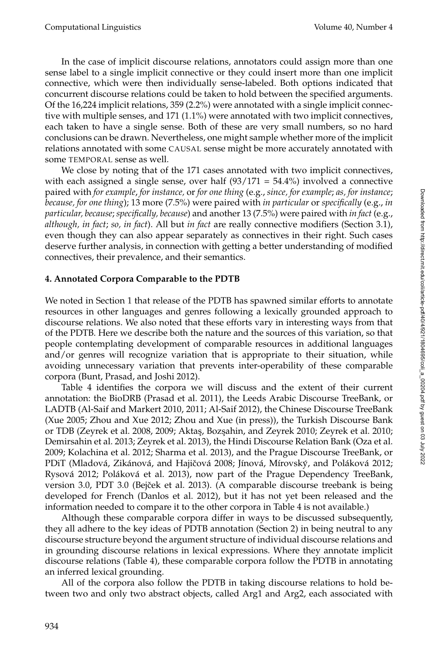In the case of implicit discourse relations, annotators could assign more than one sense label to a single implicit connective or they could insert more than one implicit connective, which were then individually sense-labeled. Both options indicated that concurrent discourse relations could be taken to hold between the specified arguments. Of the 16,224 implicit relations, 359 (2.2%) were annotated with a single implicit connective with multiple senses, and 171 (1.1%) were annotated with two implicit connectives, each taken to have a single sense. Both of these are very small numbers, so no hard conclusions can be drawn. Nevertheless, one might sample whether more of the implicit relations annotated with some CAUSAL sense might be more accurately annotated with some TEMPORAL sense as well.

We close by noting that of the 171 cases annotated with two implicit connectives, with each assigned a single sense, over half  $(93/171 = 54.4\%)$  involved a connective paired with *for example*, *for instance,* or *for one thing* (e.g., *since, for example*; *as, for instance*; *because, for one thing*); 13 more (7.5%) were paired with *in particular* or *specifically* (e.g., *in particular, because*; *specifically, because*) and another 13 (7.5%) were paired with *in fact* (e.g., *although, in fact*; *so, in fact*). All but *in fact* are really connective modifiers (Section 3.1), even though they can also appear separately as connectives in their right. Such cases deserve further analysis, in connection with getting a better understanding of modified connectives, their prevalence, and their semantics.

#### **4. Annotated Corpora Comparable to the PDTB**

We noted in Section 1 that release of the PDTB has spawned similar efforts to annotate resources in other languages and genres following a lexically grounded approach to discourse relations. We also noted that these efforts vary in interesting ways from that of the PDTB. Here we describe both the nature and the sources of this variation, so that people contemplating development of comparable resources in additional languages and/or genres will recognize variation that is appropriate to their situation, while avoiding unnecessary variation that prevents inter-operability of these comparable corpora (Bunt, Prasad, and Joshi 2012).

Table 4 identifies the corpora we will discuss and the extent of their current annotation: the BioDRB (Prasad et al. 2011), the Leeds Arabic Discourse TreeBank, or LADTB (Al-Saif and Markert 2010, 2011; Al-Saif 2012), the Chinese Discourse TreeBank (Xue 2005; Zhou and Xue 2012; Zhou and Xue (in press)), the Turkish Discourse Bank or TDB (Zeyrek et al. 2008, 2009; Aktas, Bozsahin, and Zeyrek 2010; Zeyrek et al. 2010; Demirsahin et al. 2013; Zeyrek et al. 2013), the Hindi Discourse Relation Bank (Oza et al. 2009; Kolachina et al. 2012; Sharma et al. 2013), and the Prague Discourse TreeBank, or PDiT (Mladová, Zikánová, and Hajičová 2008; Jínová, Mírovský, and Poláková 2012; Rysová 2012; Poláková et al. 2013), now part of the Prague Dependency TreeBank, version 3.0, PDT 3.0 (Bejček et al. 2013). (A comparable discourse treebank is being developed for French (Danlos et al. 2012), but it has not yet been released and the information needed to compare it to the other corpora in Table 4 is not available.)

Although these comparable corpora differ in ways to be discussed subsequently, they all adhere to the key ideas of PDTB annotation (Section 2) in being neutral to any discourse structure beyond the argument structure of individual discourse relations and in grounding discourse relations in lexical expressions. Where they annotate implicit discourse relations (Table 4), these comparable corpora follow the PDTB in annotating an inferred lexical grounding.

All of the corpora also follow the PDTB in taking discourse relations to hold between two and only two abstract objects, called Arg1 and Arg2, each associated with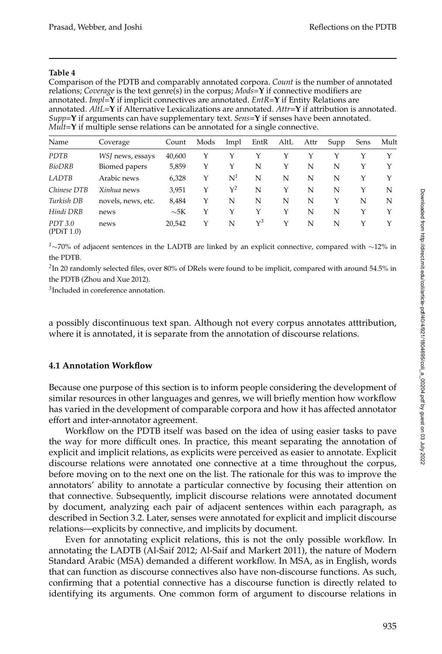#### **Table 4**

Comparison of the PDTB and comparably annotated corpora. *Count* is the number of annotated relations; *Coverage* is the text genre(s) in the corpus; *Mods*=**Y** if connective modifiers are annotated. *Impl*=**Y** if implicit connectives are annotated. *EntR*=**Y** if Entity Relations are annotated. *AltL*=**Y** if Alternative Lexicalizations are annotated. *Attr*=**Y** if attribution is annotated. *Supp*=**Y** if arguments can have supplementary text. *Sens*=**Y** if senses have been annotated. *Mult*=**Y** if multiple sense relations can be annotated for a single connective.

| Name                  | Coverage           | Count     | Mods | Impl           | EntR       | AltL | Attr | Supp | Sens | Mult |
|-----------------------|--------------------|-----------|------|----------------|------------|------|------|------|------|------|
| <b>PDTB</b>           | WSJ news, essays   | 40,600    | Υ    | Y              |            |      | Y    | Υ    | Y    | Y    |
| <b>BioDRB</b>         | Biomed papers      | 5,859     | Υ    | Y              | N          | Y    | N    | N    | Y    | Y    |
| <b>LADTB</b>          | Arabic news        | 6,328     | Y    | $N^1$          | N          | N    | N    | N    | Y    | Y    |
| Chinese DTB           | Xinhua news        | 3,951     | Y    | $\mathsf{Y}^2$ | N          | Y    | N    | N    | Y    | N    |
| Turkish DB            | novels, news, etc. | 8,484     | Υ    | N              | N          | N    | N    | Y    | N    | N    |
| Hindi DRB             | news               | $\sim$ 5K | Y    | Υ              | Υ          | Y    | N    | N    | Y    | Y    |
| PDT 3.0<br>(PDiT 1.0) | news               | 20,542    | Υ    | N              | $\gamma^3$ | Y    | N    | N    | Y    | Y    |

*<sup>1</sup>*∼70% of adjacent sentences in the LADTB are linked by an explicit connective, compared with ∼12% in the PDTB.

 $^2$ In 20 randomly selected files, over 80% of DRels were found to be implicit, compared with around 54.5% in the PDTB (Zhou and Xue 2012).

*3* Included in coreference annotation.

a possibly discontinuous text span. Although not every corpus annotates atttribution, where it is annotated, it is separate from the annotation of discourse relations.

# **4.1 Annotation Workflow**

Because one purpose of this section is to inform people considering the development of similar resources in other languages and genres, we will briefly mention how workflow has varied in the development of comparable corpora and how it has affected annotator effort and inter-annotator agreement.

Workflow on the PDTB itself was based on the idea of using easier tasks to pave the way for more difficult ones. In practice, this meant separating the annotation of explicit and implicit relations, as explicits were perceived as easier to annotate. Explicit discourse relations were annotated one connective at a time throughout the corpus, before moving on to the next one on the list. The rationale for this was to improve the annotators' ability to annotate a particular connective by focusing their attention on that connective. Subsequently, implicit discourse relations were annotated document by document, analyzing each pair of adjacent sentences within each paragraph, as described in Section 3.2. Later, senses were annotated for explicit and implicit discourse relations—explicits by connective, and implicits by document.

Even for annotating explicit relations, this is not the only possible workflow. In annotating the LADTB (Al-Saif 2012; Al-Saif and Markert 2011), the nature of Modern Standard Arabic (MSA) demanded a different workflow. In MSA, as in English, words that can function as discourse connectives also have non-discourse functions. As such, confirming that a potential connective has a discourse function is directly related to identifying its arguments. One common form of argument to discourse relations in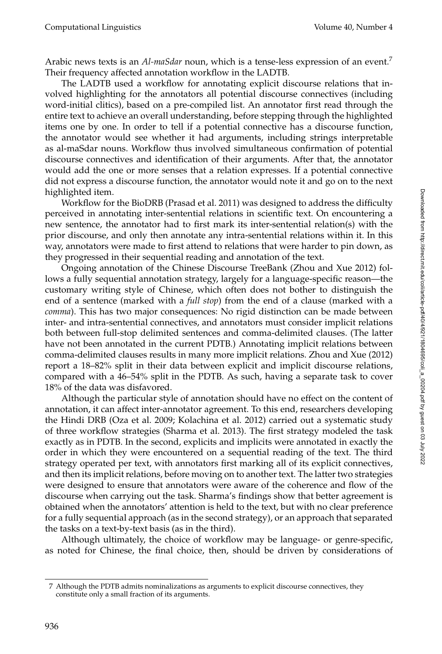Arabic news texts is an *Al-maSdar* noun, which is a tense-less expression of an event.<sup>7</sup> Their frequency affected annotation workflow in the LADTB.

The LADTB used a workflow for annotating explicit discourse relations that involved highlighting for the annotators all potential discourse connectives (including word-initial clitics), based on a pre-compiled list. An annotator first read through the entire text to achieve an overall understanding, before stepping through the highlighted items one by one. In order to tell if a potential connective has a discourse function, the annotator would see whether it had arguments, including strings interpretable as al-maSdar nouns. Workflow thus involved simultaneous confirmation of potential discourse connectives and identification of their arguments. After that, the annotator would add the one or more senses that a relation expresses. If a potential connective did not express a discourse function, the annotator would note it and go on to the next highlighted item.

Workflow for the BioDRB (Prasad et al. 2011) was designed to address the difficulty perceived in annotating inter-sentential relations in scientific text. On encountering a new sentence, the annotator had to first mark its inter-sentential relation(s) with the prior discourse, and only then annotate any intra-sentential relations within it. In this way, annotators were made to first attend to relations that were harder to pin down, as they progressed in their sequential reading and annotation of the text.

Ongoing annotation of the Chinese Discourse TreeBank (Zhou and Xue 2012) follows a fully sequential annotation strategy, largely for a language-specific reason—the customary writing style of Chinese, which often does not bother to distinguish the end of a sentence (marked with a *full stop*) from the end of a clause (marked with a *comma*). This has two major consequences: No rigid distinction can be made between inter- and intra-sentential connectives, and annotators must consider implicit relations both between full-stop delimited sentences and comma-delimited clauses. (The latter have not been annotated in the current PDTB.) Annotating implicit relations between comma-delimited clauses results in many more implicit relations. Zhou and Xue (2012) report a 18–82% split in their data between explicit and implicit discourse relations, compared with a 46–54% split in the PDTB. As such, having a separate task to cover 18% of the data was disfavored.

Although the particular style of annotation should have no effect on the content of annotation, it can affect inter-annotator agreement. To this end, researchers developing the Hindi DRB (Oza et al. 2009; Kolachina et al. 2012) carried out a systematic study of three workflow strategies (Sharma et al. 2013). The first strategy modeled the task exactly as in PDTB. In the second, explicits and implicits were annotated in exactly the order in which they were encountered on a sequential reading of the text. The third strategy operated per text, with annotators first marking all of its explicit connectives, and then its implicit relations, before moving on to another text. The latter two strategies were designed to ensure that annotators were aware of the coherence and flow of the discourse when carrying out the task. Sharma's findings show that better agreement is obtained when the annotators' attention is held to the text, but with no clear preference for a fully sequential approach (as in the second strategy), or an approach that separated the tasks on a text-by-text basis (as in the third).

Although ultimately, the choice of workflow may be language- or genre-specific, as noted for Chinese, the final choice, then, should be driven by considerations of

<sup>7</sup> Although the PDTB admits nominalizations as arguments to explicit discourse connectives, they constitute only a small fraction of its arguments.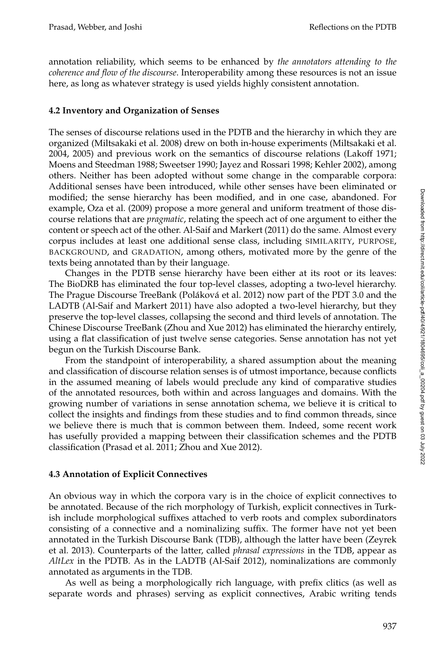annotation reliability, which seems to be enhanced by *the annotators attending to the coherence and flow of the discourse*. Interoperability among these resources is not an issue here, as long as whatever strategy is used yields highly consistent annotation.

# **4.2 Inventory and Organization of Senses**

The senses of discourse relations used in the PDTB and the hierarchy in which they are organized (Miltsakaki et al. 2008) drew on both in-house experiments (Miltsakaki et al. 2004, 2005) and previous work on the semantics of discourse relations (Lakoff 1971; Moens and Steedman 1988; Sweetser 1990; Jayez and Rossari 1998; Kehler 2002), among others. Neither has been adopted without some change in the comparable corpora: Additional senses have been introduced, while other senses have been eliminated or modified; the sense hierarchy has been modified, and in one case, abandoned. For example, Oza et al. (2009) propose a more general and uniform treatment of those discourse relations that are *pragmatic*, relating the speech act of one argument to either the content or speech act of the other. Al-Saif and Markert (2011) do the same. Almost every corpus includes at least one additional sense class, including SIMILARITY, PURPOSE, BACKGROUND, and GRADATION, among others, motivated more by the genre of the texts being annotated than by their language.

Changes in the PDTB sense hierarchy have been either at its root or its leaves: The BioDRB has eliminated the four top-level classes, adopting a two-level hierarchy. The Prague Discourse TreeBank (Poláková et al. 2012) now part of the PDT 3.0 and the LADTB (Al-Saif and Markert 2011) have also adopted a two-level hierarchy, but they preserve the top-level classes, collapsing the second and third levels of annotation. The Chinese Discourse TreeBank (Zhou and Xue 2012) has eliminated the hierarchy entirely, using a flat classification of just twelve sense categories. Sense annotation has not yet begun on the Turkish Discourse Bank.

From the standpoint of interoperability, a shared assumption about the meaning and classification of discourse relation senses is of utmost importance, because conflicts in the assumed meaning of labels would preclude any kind of comparative studies of the annotated resources, both within and across languages and domains. With the growing number of variations in sense annotation schema, we believe it is critical to collect the insights and findings from these studies and to find common threads, since we believe there is much that is common between them. Indeed, some recent work has usefully provided a mapping between their classification schemes and the PDTB classification (Prasad et al. 2011; Zhou and Xue 2012).

# **4.3 Annotation of Explicit Connectives**

An obvious way in which the corpora vary is in the choice of explicit connectives to be annotated. Because of the rich morphology of Turkish, explicit connectives in Turkish include morphological suffixes attached to verb roots and complex subordinators consisting of a connective and a nominalizing suffix. The former have not yet been annotated in the Turkish Discourse Bank (TDB), although the latter have been (Zeyrek et al. 2013). Counterparts of the latter, called *phrasal expressions* in the TDB, appear as *AltLex* in the PDTB. As in the LADTB (Al-Saif 2012), nominalizations are commonly annotated as arguments in the TDB.

As well as being a morphologically rich language, with prefix clitics (as well as separate words and phrases) serving as explicit connectives, Arabic writing tends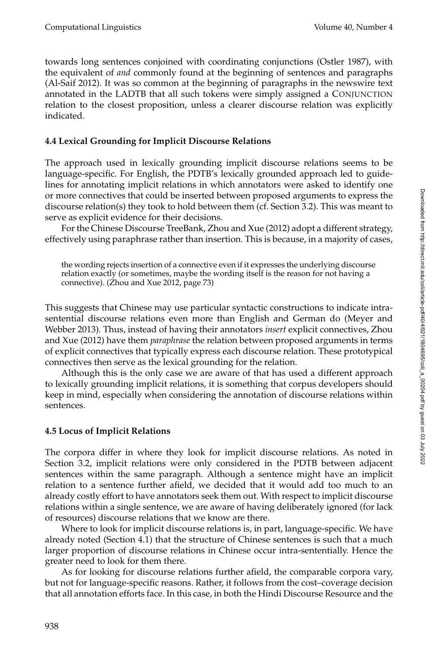towards long sentences conjoined with coordinating conjunctions (Ostler 1987), with the equivalent of *and* commonly found at the beginning of sentences and paragraphs (Al-Saif 2012). It was so common at the beginning of paragraphs in the newswire text annotated in the LADTB that all such tokens were simply assigned a CONJUNCTION relation to the closest proposition, unless a clearer discourse relation was explicitly indicated.

# **4.4 Lexical Grounding for Implicit Discourse Relations**

The approach used in lexically grounding implicit discourse relations seems to be language-specific. For English, the PDTB's lexically grounded approach led to guidelines for annotating implicit relations in which annotators were asked to identify one or more connectives that could be inserted between proposed arguments to express the discourse relation(s) they took to hold between them (cf. Section 3.2). This was meant to serve as explicit evidence for their decisions.

For the Chinese Discourse TreeBank, Zhou and Xue (2012) adopt a different strategy, effectively using paraphrase rather than insertion. This is because, in a majority of cases,

the wording rejects insertion of a connective even if it expresses the underlying discourse relation exactly (or sometimes, maybe the wording itself is the reason for not having a connective). (Zhou and Xue 2012, page 73)

This suggests that Chinese may use particular syntactic constructions to indicate intrasentential discourse relations even more than English and German do (Meyer and Webber 2013). Thus, instead of having their annotators *insert* explicit connectives, Zhou and Xue (2012) have them *paraphrase* the relation between proposed arguments in terms of explicit connectives that typically express each discourse relation. These prototypical connectives then serve as the lexical grounding for the relation.

Although this is the only case we are aware of that has used a different approach to lexically grounding implicit relations, it is something that corpus developers should keep in mind, especially when considering the annotation of discourse relations within sentences.

# **4.5 Locus of Implicit Relations**

The corpora differ in where they look for implicit discourse relations. As noted in Section 3.2, implicit relations were only considered in the PDTB between adjacent sentences within the same paragraph. Although a sentence might have an implicit relation to a sentence further afield, we decided that it would add too much to an already costly effort to have annotators seek them out. With respect to implicit discourse relations within a single sentence, we are aware of having deliberately ignored (for lack of resources) discourse relations that we know are there.

Where to look for implicit discourse relations is, in part, language-specific. We have already noted (Section 4.1) that the structure of Chinese sentences is such that a much larger proportion of discourse relations in Chinese occur intra-sententially. Hence the greater need to look for them there.

As for looking for discourse relations further afield, the comparable corpora vary, but not for language-specific reasons. Rather, it follows from the cost–coverage decision that all annotation efforts face. In this case, in both the Hindi Discourse Resource and the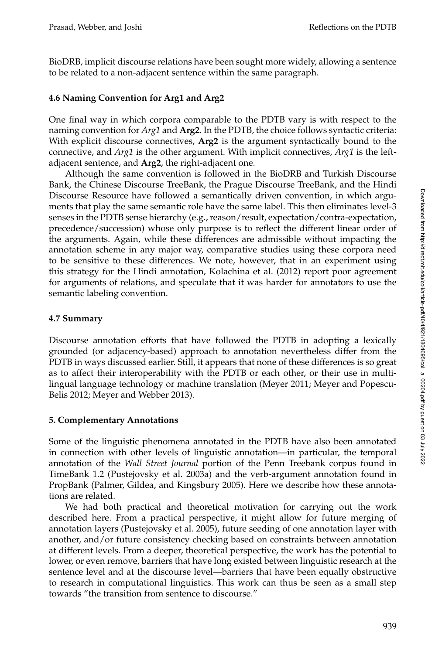BioDRB, implicit discourse relations have been sought more widely, allowing a sentence to be related to a non-adjacent sentence within the same paragraph.

# **4.6 Naming Convention for Arg1 and Arg2**

One final way in which corpora comparable to the PDTB vary is with respect to the naming convention for *Arg1* and **Arg2**. In the PDTB, the choice follows syntactic criteria: With explicit discourse connectives, **Arg2** is the argument syntactically bound to the connective, and *Arg1* is the other argument. With implicit connectives, *Arg1* is the leftadjacent sentence, and **Arg2**, the right-adjacent one.

Although the same convention is followed in the BioDRB and Turkish Discourse Bank, the Chinese Discourse TreeBank, the Prague Discourse TreeBank, and the Hindi Discourse Resource have followed a semantically driven convention, in which arguments that play the same semantic role have the same label. This then eliminates level-3 senses in the PDTB sense hierarchy (e.g., reason/result, expectation/contra-expectation, precedence/succession) whose only purpose is to reflect the different linear order of the arguments. Again, while these differences are admissible without impacting the annotation scheme in any major way, comparative studies using these corpora need to be sensitive to these differences. We note, however, that in an experiment using this strategy for the Hindi annotation, Kolachina et al. (2012) report poor agreement for arguments of relations, and speculate that it was harder for annotators to use the semantic labeling convention.

# **4.7 Summary**

Discourse annotation efforts that have followed the PDTB in adopting a lexically grounded (or adjacency-based) approach to annotation nevertheless differ from the PDTB in ways discussed earlier. Still, it appears that none of these differences is so great as to affect their interoperability with the PDTB or each other, or their use in multilingual language technology or machine translation (Meyer 2011; Meyer and Popescu-Belis 2012; Meyer and Webber 2013).

# **5. Complementary Annotations**

Some of the linguistic phenomena annotated in the PDTB have also been annotated in connection with other levels of linguistic annotation—in particular, the temporal annotation of the *Wall Street Journal* portion of the Penn Treebank corpus found in TimeBank 1.2 (Pustejovsky et al. 2003a) and the verb-argument annotation found in PropBank (Palmer, Gildea, and Kingsbury 2005). Here we describe how these annotations are related.

We had both practical and theoretical motivation for carrying out the work described here. From a practical perspective, it might allow for future merging of annotation layers (Pustejovsky et al. 2005), future seeding of one annotation layer with another, and/or future consistency checking based on constraints between annotation at different levels. From a deeper, theoretical perspective, the work has the potential to lower, or even remove, barriers that have long existed between linguistic research at the sentence level and at the discourse level—barriers that have been equally obstructive to research in computational linguistics. This work can thus be seen as a small step towards "the transition from sentence to discourse."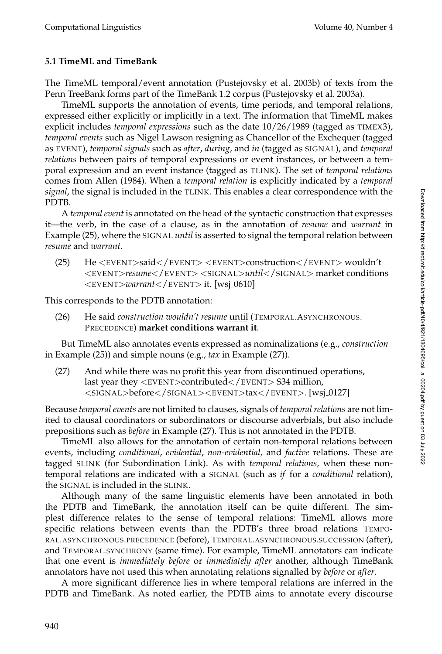# **5.1 TimeML and TimeBank**

The TimeML temporal/event annotation (Pustejovsky et al. 2003b) of texts from the Penn TreeBank forms part of the TimeBank 1.2 corpus (Pustejovsky et al. 2003a).

TimeML supports the annotation of events, time periods, and temporal relations, expressed either explicitly or implicitly in a text. The information that TimeML makes explicit includes *temporal expressions* such as the date 10/26/1989 (tagged as TIMEX3), *temporal events* such as Nigel Lawson resigning as Chancellor of the Exchequer (tagged as EVENT), *temporal signals* such as *after*, *during*, and *in* (tagged as SIGNAL), and *temporal relations* between pairs of temporal expressions or event instances, or between a temporal expression and an event instance (tagged as TLINK). The set of *temporal relations* comes from Allen (1984). When a *temporal relation* is explicitly indicated by a *temporal signal*, the signal is included in the TLINK. This enables a clear correspondence with the PDTB.

A *temporal event* is annotated on the head of the syntactic construction that expresses it—the verb, in the case of a clause, as in the annotation of *resume* and *warrant* in Example (25), where the SIGNAL *until* is asserted to signal the temporal relation between *resume* and *warrant*.

(25) He <EVENT>said</EVENT> <EVENT>construction</EVENT> wouldn't <EVENT>*resume*</EVENT> <SIGNAL>*until*</SIGNAL> market conditions <EVENT>*warrant*</EVENT> it. [wsj 0610]

This corresponds to the PDTB annotation:

(26) He said *construction wouldn't resume* until (TEMPORAL.ASYNCHRONOUS. PRECEDENCE) **market conditions warrant it**.

But TimeML also annotates events expressed as nominalizations (e.g., *construction* in Example (25)) and simple nouns (e.g., *tax* in Example (27)).

(27) And while there was no profit this year from discontinued operations, last year they  $\langle$ EVENT $>$ contributed $\langle$ /EVENT $>$  \$34 million, <SIGNAL>before</SIGNAL><EVENT>tax</EVENT>. [wsj 0127]

Because *temporal events* are not limited to clauses, signals of *temporal relations* are not limited to clausal coordinators or subordinators or discourse adverbials, but also include prepositions such as *before* in Example (27). This is not annotated in the PDTB.

TimeML also allows for the annotation of certain non-temporal relations between events, including *conditional*, *evidential*, *non-evidential,* and *factive* relations. These are tagged SLINK (for Subordination Link). As with *temporal relations*, when these nontemporal relations are indicated with a SIGNAL (such as *if* for a *conditional* relation), the SIGNAL is included in the SLINK.

Although many of the same linguistic elements have been annotated in both the PDTB and TimeBank, the annotation itself can be quite different. The simplest difference relates to the sense of temporal relations: TimeML allows more specific relations between events than the PDTB's three broad relations TEMPO-RAL.ASYNCHRONOUS.PRECEDENCE (before), TEMPORAL.ASYNCHRONOUS.SUCCESSION (after), and TEMPORAL.SYNCHRONY (same time). For example, TimeML annotators can indicate that one event is *immediately before* or *immediately after* another, although TimeBank annotators have not used this when annotating relations signalled by *before* or *after*.

A more significant difference lies in where temporal relations are inferred in the PDTB and TimeBank. As noted earlier, the PDTB aims to annotate every discourse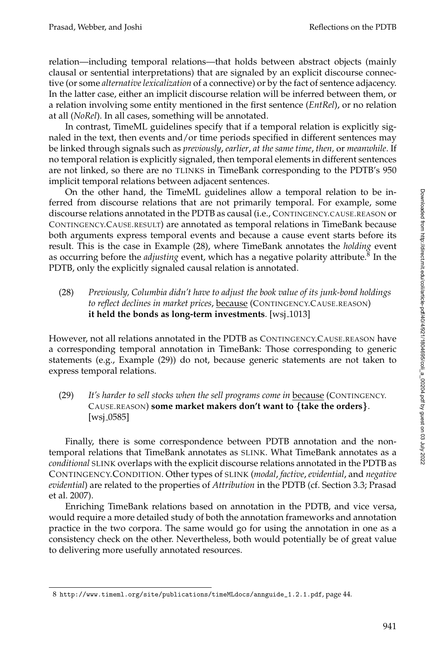relation—including temporal relations—that holds between abstract objects (mainly clausal or sentential interpretations) that are signaled by an explicit discourse connective (or some *alternative lexicalization* of a connective) or by the fact of sentence adjacency. In the latter case, either an implicit discourse relation will be inferred between them, or a relation involving some entity mentioned in the first sentence (*EntRel*), or no relation at all (*NoRel*). In all cases, something will be annotated.

In contrast, TimeML guidelines specify that if a temporal relation is explicitly signaled in the text, then events and/or time periods specified in different sentences may be linked through signals such as *previously*, *earlier*, *at the same time*, *then,* or *meanwhile*. If no temporal relation is explicitly signaled, then temporal elements in different sentences are not linked, so there are no TLINKS in TimeBank corresponding to the PDTB's 950 implicit temporal relations between adjacent sentences.

On the other hand, the TimeML guidelines allow a temporal relation to be inferred from discourse relations that are not primarily temporal. For example, some discourse relations annotated in the PDTB as causal (i.e., CONTINGENCY.CAUSE.REASON or CONTINGENCY.CAUSE.RESULT) are annotated as temporal relations in TimeBank because both arguments express temporal events and because a cause event starts before its result. This is the case in Example (28), where TimeBank annotates the *holding* event as occurring before the *adjusting* event, which has a negative polarity attribute.<sup>8</sup> In the PDTB, only the explicitly signaled causal relation is annotated.

(28) *Previously, Columbia didn't have to adjust the book value of its junk-bond holdings to reflect declines in market prices*, because (CONTINGENCY.CAUSE.REASON) it held the bonds as long-term investments. [wsj<sub>-1013]</sub>

However, not all relations annotated in the PDTB as CONTINGENCY.CAUSE.REASON have a corresponding temporal annotation in TimeBank: Those corresponding to generic statements (e.g., Example (29)) do not, because generic statements are not taken to express temporal relations.

(29) *It's harder to sell stocks when the sell programs come in* because (CONTINGENCY. CAUSE.REASON) **some market makers don't want to** {**take the orders**}. [wsj 0585]

Finally, there is some correspondence between PDTB annotation and the nontemporal relations that TimeBank annotates as SLINK. What TimeBank annotates as a *conditional* SLINK overlaps with the explicit discourse relations annotated in the PDTB as CONTINGENCY.CONDITION. Other types of SLINK (*modal*, *factive*, *evidential*, and *negative evidential*) are related to the properties of *Attribution* in the PDTB (cf. Section 3.3; Prasad et al. 2007).

Enriching TimeBank relations based on annotation in the PDTB, and vice versa, would require a more detailed study of both the annotation frameworks and annotation practice in the two corpora. The same would go for using the annotation in one as a consistency check on the other. Nevertheless, both would potentially be of great value to delivering more usefully annotated resources.

<sup>8</sup> http://www.timeml.org/site/publications/timeMLdocs/annguide\_1.2.1.pdf, page 44.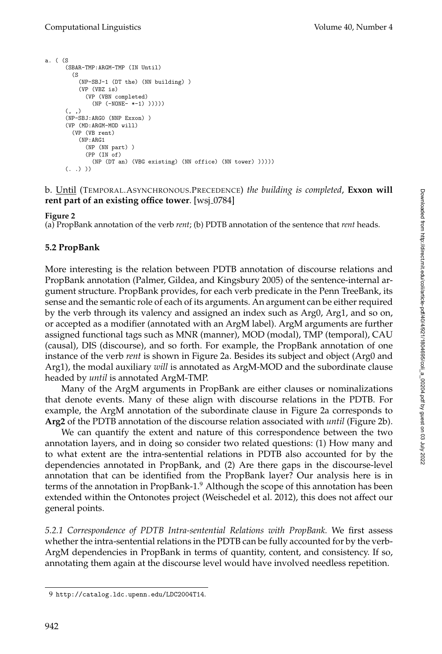```
a. ( (S
  (SBAR-TMP:ARGM-TMP (IN Until)
    (S
      (NP-SBJ-1 (DT the) (NN building) )
      (VP (VBZ is)
        (VP (VBN completed)
          (NP (-NONE- *-1) ))))(, , , )(NP-SBJ:ARG0 (NNP Exxon) )
  (VP (MD:ARGM-MOD will)
    (VP (VB rent)
      (NP:ARG1
        (NP (NN part) )
        (PP (IN of)
          (NP (DT an) (VBG existing) (NN office) (NN tower) )))))
  ( . . ) )
```
b. Until (TEMPORAL.ASYNCHRONOUS.PRECEDENCE) *the building is completed*, **Exxon will** rent part of an existing office tower. [wsj<sub>-0784]</sub>

#### **Figure 2**

(a) PropBank annotation of the verb *rent*; (b) PDTB annotation of the sentence that *rent* heads.

# **5.2 PropBank**

More interesting is the relation between PDTB annotation of discourse relations and PropBank annotation (Palmer, Gildea, and Kingsbury 2005) of the sentence-internal argument structure. PropBank provides, for each verb predicate in the Penn TreeBank, its sense and the semantic role of each of its arguments. An argument can be either required by the verb through its valency and assigned an index such as Arg0, Arg1, and so on, or accepted as a modifier (annotated with an ArgM label). ArgM arguments are further assigned functional tags such as MNR (manner), MOD (modal), TMP (temporal), CAU (causal), DIS (discourse), and so forth. For example, the PropBank annotation of one instance of the verb *rent* is shown in Figure 2a. Besides its subject and object (Arg0 and Arg1), the modal auxiliary *will* is annotated as ArgM-MOD and the subordinate clause headed by *until* is annotated ArgM-TMP.

Many of the ArgM arguments in PropBank are either clauses or nominalizations that denote events. Many of these align with discourse relations in the PDTB. For example, the ArgM annotation of the subordinate clause in Figure 2a corresponds to **Arg2** of the PDTB annotation of the discourse relation associated with *until* (Figure 2b).

We can quantify the extent and nature of this correspondence between the two annotation layers, and in doing so consider two related questions: (1) How many and to what extent are the intra-sentential relations in PDTB also accounted for by the dependencies annotated in PropBank, and (2) Are there gaps in the discourse-level annotation that can be identified from the PropBank layer? Our analysis here is in terms of the annotation in PropBank-1.<sup>9</sup> Although the scope of this annotation has been extended within the Ontonotes project (Weischedel et al. 2012), this does not affect our general points.

*5.2.1 Correspondence of PDTB Intra-sentential Relations with PropBank.* We first assess whether the intra-sentential relations in the PDTB can be fully accounted for by the verb-ArgM dependencies in PropBank in terms of quantity, content, and consistency. If so, annotating them again at the discourse level would have involved needless repetition.

<sup>9</sup> http://catalog.ldc.upenn.edu/LDC2004T14.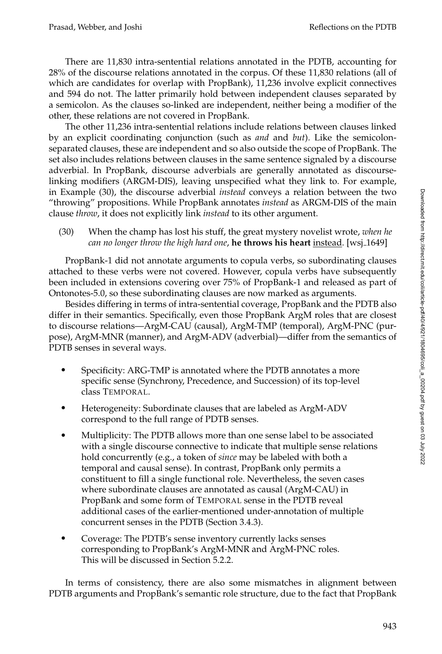There are 11,830 intra-sentential relations annotated in the PDTB, accounting for 28% of the discourse relations annotated in the corpus. Of these 11,830 relations (all of which are candidates for overlap with PropBank), 11,236 involve explicit connectives and 594 do not. The latter primarily hold between independent clauses separated by a semicolon. As the clauses so-linked are independent, neither being a modifier of the other, these relations are not covered in PropBank.

The other 11,236 intra-sentential relations include relations between clauses linked by an explicit coordinating conjunction (such as *and* and *but*). Like the semicolonseparated clauses, these are independent and so also outside the scope of PropBank. The set also includes relations between clauses in the same sentence signaled by a discourse adverbial. In PropBank, discourse adverbials are generally annotated as discourselinking modifiers (ARGM-DIS), leaving unspecified what they link to. For example, in Example (30), the discourse adverbial *instead* conveys a relation between the two "throwing" propositions. While PropBank annotates *instead* as ARGM-DIS of the main clause *throw*, it does not explicitly link *instead* to its other argument.

(30) When the champ has lost his stuff, the great mystery novelist wrote, *when he can no longer throw the high hard one*, **he throws his heart** instead. [wsj 1649]

PropBank-1 did not annotate arguments to copula verbs, so subordinating clauses attached to these verbs were not covered. However, copula verbs have subsequently been included in extensions covering over 75% of PropBank-1 and released as part of Ontonotes-5.0, so these subordinating clauses are now marked as arguments.

Besides differing in terms of intra-sentential coverage, PropBank and the PDTB also differ in their semantics. Specifically, even those PropBank ArgM roles that are closest to discourse relations—ArgM-CAU (causal), ArgM-TMP (temporal), ArgM-PNC (purpose), ArgM-MNR (manner), and ArgM-ADV (adverbial)—differ from the semantics of PDTB senses in several ways.

- Specificity: ARG-TMP is annotated where the PDTB annotates a more specific sense (Synchrony, Precedence, and Succession) of its top-level class TEMPORAL.
- Heterogeneity: Subordinate clauses that are labeled as ArgM-ADV correspond to the full range of PDTB senses.
- Multiplicity: The PDTB allows more than one sense label to be associated with a single discourse connective to indicate that multiple sense relations hold concurrently (e.g., a token of *since* may be labeled with both a temporal and causal sense). In contrast, PropBank only permits a constituent to fill a single functional role. Nevertheless, the seven cases where subordinate clauses are annotated as causal (ArgM-CAU) in PropBank and some form of TEMPORAL sense in the PDTB reveal additional cases of the earlier-mentioned under-annotation of multiple concurrent senses in the PDTB (Section 3.4.3).
- Coverage: The PDTB's sense inventory currently lacks senses corresponding to PropBank's ArgM-MNR and ArgM-PNC roles. This will be discussed in Section 5.2.2.

In terms of consistency, there are also some mismatches in alignment between PDTB arguments and PropBank's semantic role structure, due to the fact that PropBank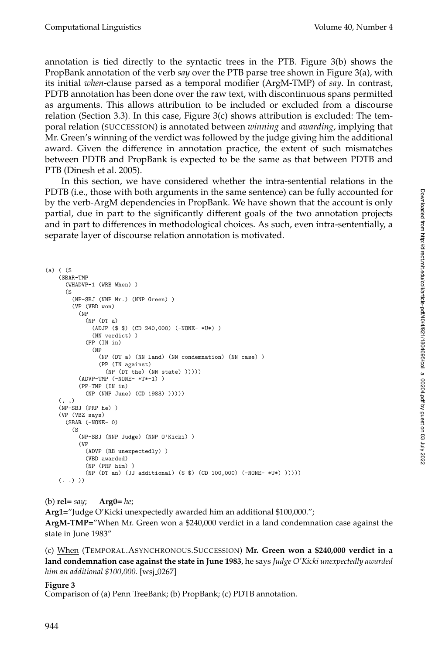annotation is tied directly to the syntactic trees in the PTB. Figure 3(b) shows the PropBank annotation of the verb *say* over the PTB parse tree shown in Figure 3(a), with its initial *when*-clause parsed as a temporal modifier (ArgM-TMP) of *say*. In contrast, PDTB annotation has been done over the raw text, with discontinuous spans permitted as arguments. This allows attribution to be included or excluded from a discourse relation (Section 3.3). In this case, Figure 3(c) shows attribution is excluded: The temporal relation (SUCCESSION) is annotated between *winning* and *awarding*, implying that Mr. Green's winning of the verdict was followed by the judge giving him the additional award. Given the difference in annotation practice, the extent of such mismatches between PDTB and PropBank is expected to be the same as that between PDTB and PTB (Dinesh et al. 2005).

In this section, we have considered whether the intra-sentential relations in the PDTB (i.e., those with both arguments in the same sentence) can be fully accounted for by the verb-ArgM dependencies in PropBank. We have shown that the account is only partial, due in part to the significantly different goals of the two annotation projects and in part to differences in methodological choices. As such, even intra-sententially, a separate layer of discourse relation annotation is motivated.

```
(a) ( (S
(SBAR-TMP
  (WHADVP-1 (WRB When) )
  (S
    (NP-SBJ (NNP Mr.) (NNP Green) )
    (VP (VBD won)
      (NP
        (NP (DT a)
          (ADJP ($ $) (CD 240,000) (-NONE- *U*) )
          (NN verdict) )
        (PP (IN in)
          (NP
            (NP (DT a) (NN land) (NN condemnation) (NN case) )
            (PP (IN against)
              (NP (DT the) (NN state) )))))
      (ADVP-TMP (-NONE- *T*-1) )
      (PP-TMP (IN in)
        (NP (NNP June) (CD 1983) )))))
(, , )(NP-SBJ (PRP he) )
(VP (VBZ says)
 (SBAR (-NONE- 0)
    (S
      (NP-SBJ (NNP Judge) (NNP O'Kicki) )
      (VP
        (ADVP (RB unexpectedly) )
        (VBD awarded)
        (NP (PRP him) )
        (NP (DT an) (JJ additional) ($ $) (CD 100,000) (-NONE- *U*) )))))
(, ))
```
(b) **rel=** *say*; **Arg0=** *he*;

**Arg1=**"Judge O'Kicki unexpectedly awarded him an additional \$100,000.";

**ArgM-TMP=**"When Mr. Green won a \$240,000 verdict in a land condemnation case against the state in June 1983"

(c) When (TEMPORAL.ASYNCHRONOUS.SUCCESSION) **Mr. Green won a \$240,000 verdict in a land condemnation case against the state in June 1983**, he says *Judge O'Kicki unexpectedly awarded him an additional* \$100,000. [wsj\_0267]

**Figure 3**

Comparison of (a) Penn TreeBank; (b) PropBank; (c) PDTB annotation.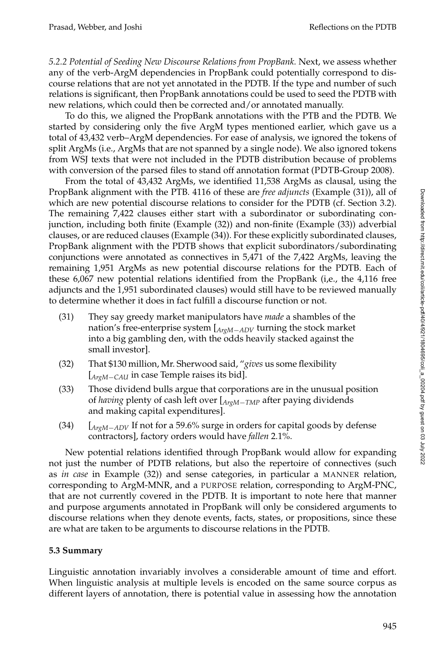*5.2.2 Potential of Seeding New Discourse Relations from PropBank.* Next, we assess whether any of the verb-ArgM dependencies in PropBank could potentially correspond to discourse relations that are not yet annotated in the PDTB. If the type and number of such relations is significant, then PropBank annotations could be used to seed the PDTB with new relations, which could then be corrected and/or annotated manually.

To do this, we aligned the PropBank annotations with the PTB and the PDTB. We started by considering only the five ArgM types mentioned earlier, which gave us a total of 43,432 verb–ArgM dependencies. For ease of analysis, we ignored the tokens of split ArgMs (i.e., ArgMs that are not spanned by a single node). We also ignored tokens from WSJ texts that were not included in the PDTB distribution because of problems with conversion of the parsed files to stand off annotation format (PDTB-Group 2008).

From the total of 43,432 ArgMs, we identified 11,538 ArgMs as clausal, using the PropBank alignment with the PTB. 4116 of these are *free adjuncts* (Example (31)), all of which are new potential discourse relations to consider for the PDTB (cf. Section 3.2). The remaining 7,422 clauses either start with a subordinator or subordinating conjunction, including both finite (Example (32)) and non-finite (Example (33)) adverbial clauses, or are reduced clauses (Example (34)). For these explicitly subordinated clauses, PropBank alignment with the PDTB shows that explicit subordinators/subordinating conjunctions were annotated as connectives in 5,471 of the 7,422 ArgMs, leaving the remaining 1,951 ArgMs as new potential discourse relations for the PDTB. Each of these 6,067 new potential relations identified from the PropBank (i,e., the 4,116 free adjuncts and the 1,951 subordinated clauses) would still have to be reviewed manually to determine whether it does in fact fulfill a discourse function or not.

- (31) They say greedy market manipulators have *made* a shambles of the nation's free-enterprise system [*ArgM*−*ADV* turning the stock market into a big gambling den, with the odds heavily stacked against the small investor].
- (32) That \$130 million, Mr. Sherwood said, "*gives* us some flexibility [*ArgM*−*CAU* in case Temple raises its bid].
- (33) Those dividend bulls argue that corporations are in the unusual position of *having* plenty of cash left over [*ArgM*−*TMP* after paying dividends and making capital expenditures].
- (34) [*ArgM*−*ADV* If not for a 59.6% surge in orders for capital goods by defense contractors], factory orders would have *fallen* 2.1%.

New potential relations identified through PropBank would allow for expanding not just the number of PDTB relations, but also the repertoire of connectives (such as *in case* in Example (32)) and sense categories, in particular a MANNER relation, corresponding to ArgM-MNR, and a PURPOSE relation, corresponding to ArgM-PNC, that are not currently covered in the PDTB. It is important to note here that manner and purpose arguments annotated in PropBank will only be considered arguments to discourse relations when they denote events, facts, states, or propositions, since these are what are taken to be arguments to discourse relations in the PDTB.

# **5.3 Summary**

Linguistic annotation invariably involves a considerable amount of time and effort. When linguistic analysis at multiple levels is encoded on the same source corpus as different layers of annotation, there is potential value in assessing how the annotation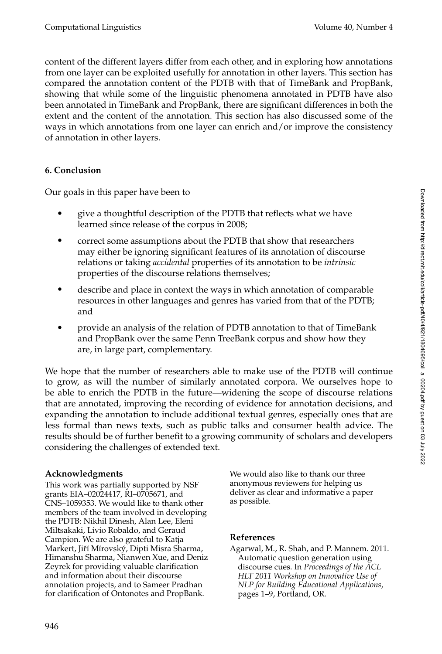content of the different layers differ from each other, and in exploring how annotations from one layer can be exploited usefully for annotation in other layers. This section has compared the annotation content of the PDTB with that of TimeBank and PropBank, showing that while some of the linguistic phenomena annotated in PDTB have also been annotated in TimeBank and PropBank, there are significant differences in both the extent and the content of the annotation. This section has also discussed some of the ways in which annotations from one layer can enrich and/or improve the consistency of annotation in other layers.

# **6. Conclusion**

Our goals in this paper have been to

- give a thoughtful description of the PDTB that reflects what we have learned since release of the corpus in 2008;
- r correct some assumptions about the PDTB that show that researchers may either be ignoring significant features of its annotation of discourse relations or taking *accidental* properties of its annotation to be *intrinsic* properties of the discourse relations themselves;
- describe and place in context the ways in which annotation of comparable resources in other languages and genres has varied from that of the PDTB; and
- r provide an analysis of the relation of PDTB annotation to that of TimeBank and PropBank over the same Penn TreeBank corpus and show how they are, in large part, complementary.

We hope that the number of researchers able to make use of the PDTB will continue to grow, as will the number of similarly annotated corpora. We ourselves hope to be able to enrich the PDTB in the future—widening the scope of discourse relations that are annotated, improving the recording of evidence for annotation decisions, and expanding the annotation to include additional textual genres, especially ones that are less formal than news texts, such as public talks and consumer health advice. The results should be of further benefit to a growing community of scholars and developers considering the challenges of extended text.

# **Acknowledgments**

This work was partially supported by NSF grants EIA–02024417, RI–0705671, and CNS–1059353. We would like to thank other members of the team involved in developing the PDTB: Nikhil Dinesh, Alan Lee, Eleni Miltsakaki, Livio Robaldo, and Geraud Campion. We are also grateful to Katja Markert, Jiří Mírovský, Dipti Misra Sharma, Himanshu Sharma, Nianwen Xue, and Deniz Zeyrek for providing valuable clarification and information about their discourse annotation projects, and to Sameer Pradhan for clarification of Ontonotes and PropBank.

We would also like to thank our three anonymous reviewers for helping us deliver as clear and informative a paper as possible.

# **References**

Agarwal, M., R. Shah, and P. Mannem. 2011. Automatic question generation using discourse cues. In *Proceedings of the ACL HLT 2011 Workshop on Innovative Use of NLP for Building Educational Applications*, pages 1–9, Portland, OR.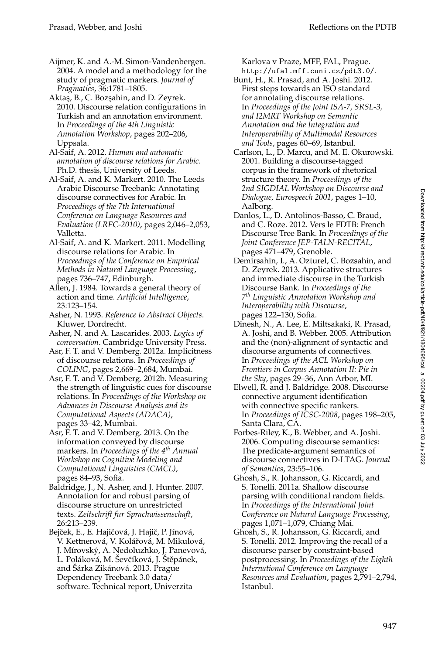Aijmer, K. and A.-M. Simon-Vandenbergen. 2004. A model and a methodology for the study of pragmatic markers. *Journal of Pragmatics*, 36:1781–1805.

Aktaş, B., C. Bozşahin, and D. Zeyrek. 2010. Discourse relation configurations in Turkish and an annotation environment. In *Proceedings of the 4th Linguistic Annotation Workshop*, pages 202–206, Uppsala.

Al-Saif, A. 2012. *Human and automatic annotation of discourse relations for Arabic*. Ph.D. thesis, University of Leeds.

Al-Saif, A. and K. Markert. 2010. The Leeds Arabic Discourse Treebank: Annotating discourse connectives for Arabic. In *Proceedings of the 7th International Conference on Language Resources and Evaluation (LREC-2010)*, pages 2,046–2,053, Valletta.

Al-Saif, A. and K. Markert. 2011. Modelling discourse relations for Arabic. In *Proceedings of the Conference on Empirical Methods in Natural Language Processing*, pages 736–747, Edinburgh.

Allen, J. 1984. Towards a general theory of action and time. *Artificial Intelligence*, 23:123–154.

Asher, N. 1993. *Reference to Abstract Objects*. Kluwer, Dordrecht.

Asher, N. and A. Lascarides. 2003. *Logics of conversation*. Cambridge University Press.

Asr, F. T. and V. Demberg. 2012a. Implicitness of discourse relations. In *Proceedings of COLING*, pages 2,669–2,684, Mumbai.

Asr, F. T. and V. Demberg. 2012b. Measuring the strength of linguistic cues for discourse relations. In *Proceedings of the Workshop on Advances in Discourse Analysis and its Computational Aspects (ADACA)*, pages 33–42, Mumbai.

Asr, F. T. and V. Demberg. 2013. On the information conveyed by discourse markers. In *Proceedings of the 4th Annual Workshop on Cognitive Modeling and Computational Linguistics (CMCL)*, pages 84–93, Sofia.

Baldridge, J., N. Asher, and J. Hunter. 2007. Annotation for and robust parsing of discourse structure on unrestricted texts. *Zeitschrift fur Sprachwissenschaft*, 26:213–239.

Bejček, E., E. Hajičová, J. Hajič, P. Jínová, .<br>V. Kettnerová, V. Kolářová, M. Mikulová, J. Mírovský, A. Nedoluzhko, J. Panevová, L. Poláková, M. Ševčíková, J. Štěpánek, and Šárka Zikánová. 2013. Prague Dependency Treebank 3.0 data/ software. Technical report, Univerzita

Karlova v Praze, MFF, FAL, Prague. http://ufal.mff.cuni.cz/pdt3.0/.

- Bunt, H., R. Prasad, and A. Joshi. 2012. First steps towards an ISO standard for annotating discourse relations. In *Proceedings of the Joint ISA-7, SRSL-3, and I2MRT Workshop on Semantic Annotation and the Integration and Interoperability of Multimodal Resources and Tools*, pages 60–69, Istanbul.
- Carlson, L., D. Marcu, and M. E. Okurowski. 2001. Building a discourse-tagged corpus in the framework of rhetorical structure theory. In *Proceedings of the 2nd SIGDIAL Workshop on Discourse and Dialogue, Eurospeech 2001*, pages 1–10, Aalborg.
- Danlos, L., D. Antolinos-Basso, C. Braud, and C. Roze. 2012. Vers le FDTB: French Discourse Tree Bank. In *Proceedings of the Joint Conference JEP-TALN-RECITAL*, pages 471–479, Grenoble.
- Demirsahin, I., A. Ozturel, C. Bozsahin, and D. Zeyrek. 2013. Applicative structures and immediate discourse in the Turkish Discourse Bank. In *Proceedings of the 7 th Linguistic Annotation Workshop and Interoperability with Discourse*, pages 122–130, Sofia.
- Dinesh, N., A. Lee, E. Miltsakaki, R. Prasad, A. Joshi, and B. Webber. 2005. Attribution and the (non)-alignment of syntactic and discourse arguments of connectives. In *Proceedings of the ACL Workshop on Frontiers in Corpus Annotation II: Pie in the Sky*, pages 29–36, Ann Arbor, MI.
- Elwell, R. and J. Baldridge. 2008. Discourse connective argument identification with connective specific rankers. In *Proceedings of ICSC-2008*, pages 198–205, Santa Clara, CA.
- Forbes-Riley, K., B. Webber, and A. Joshi. 2006. Computing discourse semantics: The predicate-argument semantics of discourse connectives in D-LTAG. *Journal of Semantics*, 23:55–106.

Ghosh, S., R. Johansson, G. Riccardi, and S. Tonelli. 2011a. Shallow discourse parsing with conditional random fields. In *Proceedings of the International Joint Conference on Natural Language Processing*, pages 1,071–1,079, Chiang Mai.

Ghosh, S., R. Johansson, G. Riccardi, and S. Tonelli. 2012. Improving the recall of a discourse parser by constraint-based postprocessing. In *Proceedings of the Eighth International Conference on Language Resources and Evaluation*, pages 2,791–2,794, Istanbul.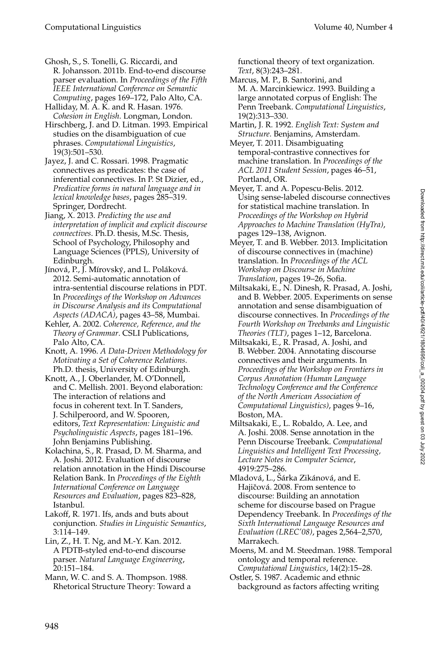Ghosh, S., S. Tonelli, G. Riccardi, and R. Johansson. 2011b. End-to-end discourse parser evaluation. In *Proceedings of the Fifth IEEE International Conference on Semantic Computing*, pages 169–172, Palo Alto, CA.

Halliday, M. A. K. and R. Hasan. 1976. *Cohesion in English*. Longman, London.

Hirschberg, J. and D. Litman. 1993. Empirical studies on the disambiguation of cue phrases. *Computational Linguistics*, 19(3):501–530.

Jayez, J. and C. Rossari. 1998. Pragmatic connectives as predicates: the case of inferential connectives. In P. St Dizier, ed., *Predicative forms in natural language and in lexical knowledge bases*, pages 285–319. Springer, Dordrecht.

Jiang, X. 2013. *Predicting the use and interpretation of implicit and explicit discourse connectives*. Ph.D. thesis, M.Sc. Thesis, School of Psychology, Philosophy and Language Sciences (PPLS), University of Edinburgh.

Jínová, P., J. Mírovský, and L. Poláková. 2012. Semi-automatic annotation of intra-sentential discourse relations in PDT. In *Proceedings of the Workshop on Advances in Discourse Analysis and its Computational Aspects (ADACA)*, pages 43–58, Mumbai.

Kehler, A. 2002. *Coherence, Reference, and the Theory of Grammar*. CSLI Publications, Palo Alto, CA.

Knott, A. 1996. *A Data-Driven Methodology for Motivating a Set of Coherence Relations*. Ph.D. thesis, University of Edinburgh.

Knott, A., J. Oberlander, M. O'Donnell, and C. Mellish. 2001. Beyond elaboration: The interaction of relations and focus in coherent text. In T. Sanders, J. Schilperoord, and W. Spooren, editors, *Text Representation: Linguistic and Psycholinguistic Aspects*, pages 181–196. John Benjamins Publishing.

Kolachina, S., R. Prasad, D. M. Sharma, and A. Joshi. 2012. Evaluation of discourse relation annotation in the Hindi Discourse Relation Bank. In *Proceedings of the Eighth International Conference on Language Resources and Evaluation*, pages 823–828, Istanbul.

Lakoff, R. 1971. Ifs, ands and buts about conjunction. *Studies in Linguistic Semantics*, 3:114–149.

Lin, Z., H. T. Ng, and M.-Y. Kan. 2012. A PDTB-styled end-to-end discourse parser. *Natural Language Engineering*, 20:151–184.

Mann, W. C. and S. A. Thompson. 1988. Rhetorical Structure Theory: Toward a functional theory of text organization. *Text*, 8(3):243–281.

- Marcus, M. P., B. Santorini, and M. A. Marcinkiewicz. 1993. Building a large annotated corpus of English: The Penn Treebank. *Computational Linguistics*, 19(2):313–330.
- Martin, J. R. 1992. *English Text: System and Structure*. Benjamins, Amsterdam.
- Meyer, T. 2011. Disambiguating temporal-contrastive connectives for machine translation. In *Proceedings of the ACL 2011 Student Session*, pages 46–51, Portland, OR.
- Meyer, T. and A. Popescu-Belis. 2012. Using sense-labeled discourse connectives for statistical machine translation. In *Proceedings of the Workshop on Hybrid Approaches to Machine Translation (HyTra)*, pages 129–138, Avignon.
- Meyer, T. and B. Webber. 2013. Implicitation of discourse connectives in (machine) translation. In *Proceedings of the ACL Workshop on Discourse in Machine Translation*, pages 19–26, Sofia.
- Miltsakaki, E., N. Dinesh, R. Prasad, A. Joshi, and B. Webber. 2005. Experiments on sense annotation and sense disambiguation of discourse connectives. In *Proceedings of the Fourth Workshop on Treebanks and Linguistic Theories (TLT)*, pages 1–12, Barcelona.
- Miltsakaki, E., R. Prasad, A. Joshi, and B. Webber. 2004. Annotating discourse connectives and their arguments. In *Proceedings of the Workshop on Frontiers in Corpus Annotation (Human Language Technology Conference and the Conference of the North American Association of Computational Linguistics)*, pages 9–16, Boston, MA.
- Miltsakaki, E., L. Robaldo, A. Lee, and A. Joshi. 2008. Sense annotation in the Penn Discourse Treebank. *Computational Linguistics and Intelligent Text Processing, Lecture Notes in Computer Science*, 4919:275–286.
- Mladová, L., Šárka Zikánová, and E. Hajičová. 2008. From sentence to discourse: Building an annotation scheme for discourse based on Prague Dependency Treebank. In *Proceedings of the Sixth International Language Resources and Evaluation (LREC'08)*, pages 2,564–2,570, Marrakech.
- Moens, M. and M. Steedman. 1988. Temporal ontology and temporal reference. *Computational Linguistics*, 14(2):15–28.

Ostler, S. 1987. Academic and ethnic background as factors affecting writing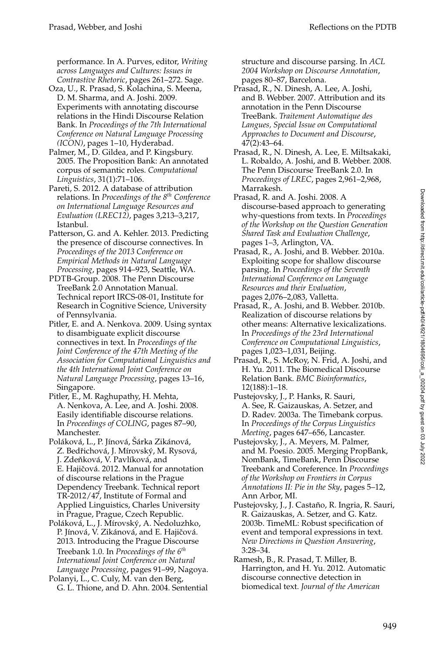performance. In A. Purves, editor, *Writing across Languages and Cultures: Issues in Contrastive Rhetoric*, pages 261–272. Sage.

Oza, U., R. Prasad, S. Kolachina, S. Meena, D. M. Sharma, and A. Joshi. 2009. Experiments with annotating discourse relations in the Hindi Discourse Relation Bank. In *Proceedings of the 7th International Conference on Natural Language Processing (ICON)*, pages 1–10, Hyderabad.

Palmer, M., D. Gildea, and P. Kingsbury. 2005. The Proposition Bank: An annotated corpus of semantic roles. *Computational Linguistics*, 31(1):71–106.

Pareti, S. 2012. A database of attribution relations. In *Proceedings of the 8th Conference on International Language Resources and Evaluation (LREC12)*, pages 3,213–3,217, Istanbul.

Patterson, G. and A. Kehler. 2013. Predicting the presence of discourse connectives. In *Proceedings of the 2013 Conference on Empirical Methods in Natural Language Processing*, pages 914–923, Seattle, WA.

PDTB-Group. 2008. The Penn Discourse TreeBank 2.0 Annotation Manual. Technical report IRCS-08-01, Institute for Research in Cognitive Science, University of Pennsylvania.

Pitler, E. and A. Nenkova. 2009. Using syntax to disambiguate explicit discourse connectives in text. In *Proceedings of the Joint Conference of the 47th Meeting of the Association for Computational Linguistics and the 4th International Joint Conference on Natural Language Processing*, pages 13–16, Singapore.

Pitler, E., M. Raghupathy, H. Mehta, A. Nenkova, A. Lee, and A. Joshi. 2008. Easily identifiable discourse relations. In *Proceedings of COLING*, pages 87–90, Manchester.

Poláková, L., P. Jínová, Šárka Zikánová, Z. Bedřichová, J. Mírovský, M. Rysová, J. Zdeňková, V. Pavlíková, and E. Hajičová. 2012. Manual for annotation of discourse relations in the Prague Dependency Treebank. Technical report TR-2012/47, Institute of Formal and Applied Linguistics, Charles University in Prague, Prague, Czech Republic.

Poláková, L., J. Mírovský, A. Nedoluzhko, P. Jínová, V. Zikánová, and E. Hajičová. 2013. Introducing the Prague Discourse Treebank 1.0. In *Proceedings of the 6th International Joint Conference on Natural Language Processing*, pages 91–99, Nagoya.

Polanyi, L., C. Culy, M. van den Berg, G. L. Thione, and D. Ahn. 2004. Sentential structure and discourse parsing. In *ACL 2004 Workshop on Discourse Annotation*, pages 80–87, Barcelona.

- Prasad, R., N. Dinesh, A. Lee, A. Joshi, and B. Webber. 2007. Attribution and its annotation in the Penn Discourse TreeBank. *Traitement Automatique des Langues, Special Issue on Computational Approaches to Document and Discourse*, 47(2):43–64.
- Prasad, R., N. Dinesh, A. Lee, E. Miltsakaki, L. Robaldo, A. Joshi, and B. Webber. 2008. The Penn Discourse TreeBank 2.0. In *Proceedings of LREC*, pages 2,961–2,968, Marrakesh.
- Prasad, R. and A. Joshi. 2008. A discourse-based approach to generating why-questions from texts. In *Proceedings of the Workshop on the Question Generation Shared Task and Evaluation Challenge*, pages 1–3, Arlington, VA.
- Prasad, R., A. Joshi, and B. Webber. 2010a. Exploiting scope for shallow discourse parsing. In *Proceedings of the Seventh International Conference on Language Resources and their Evaluation*, pages 2,076–2,083, Valletta.
- Prasad, R., A. Joshi, and B. Webber. 2010b. Realization of discourse relations by other means: Alternative lexicalizations. In *Proceedings of the 23rd International Conference on Computational Linguistics*, pages 1,023–1,031, Beijing.
- Prasad, R., S. McRoy, N. Frid, A. Joshi, and H. Yu. 2011. The Biomedical Discourse Relation Bank. *BMC Bioinformatics*, 12(188):1–18.
- Pustejovsky, J., P. Hanks, R. Sauri, A. See, R. Gaizauskas, A. Setzer, and D. Radev. 2003a. The Timebank corpus. In *Proceedings of the Corpus Linguistics Meeting*, pages 647–656, Lancaster.
- Pustejovsky, J., A. Meyers, M. Palmer, and M. Poesio. 2005. Merging PropBank, NomBank, TimeBank, Penn Discourse Treebank and Coreference. In *Proceedings of the Workshop on Frontiers in Corpus Annotations II: Pie in the Sky*, pages 5–12, Ann Arbor, MI.
- Pustejovsky, J., J. Castaño, R. Ingria, R. Sauri, R. Gaizauskas, A. Setzer, and G. Katz. 2003b. TimeML: Robust specification of event and temporal expressions in text. *New Directions in Question Answering*, 3:28–34.
- Ramesh, B., R. Prasad, T. Miller, B. Harrington, and H. Yu. 2012. Automatic discourse connective detection in biomedical text. *Journal of the American*